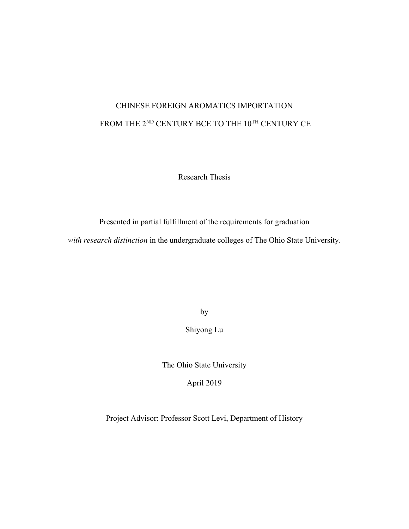# CHINESE FOREIGN AROMATICS IMPORTATION FROM THE 2<sup>ND</sup> CENTURY BCE TO THE 10<sup>TH</sup> CENTURY CE

Research Thesis

Presented in partial fulfillment of the requirements for graduation

*with research distinction* in the undergraduate colleges of The Ohio State University.

by

Shiyong Lu

The Ohio State University

April 2019

Project Advisor: Professor Scott Levi, Department of History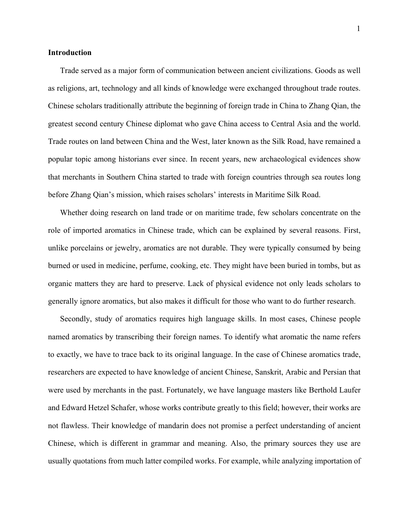#### **Introduction**

Trade served as a major form of communication between ancient civilizations. Goods as well as religions, art, technology and all kinds of knowledge were exchanged throughout trade routes. Chinese scholars traditionally attribute the beginning of foreign trade in China to Zhang Qian, the greatest second century Chinese diplomat who gave China access to Central Asia and the world. Trade routes on land between China and the West, later known as the Silk Road, have remained a popular topic among historians ever since. In recent years, new archaeological evidences show that merchants in Southern China started to trade with foreign countries through sea routes long before Zhang Qian's mission, which raises scholars' interests in Maritime Silk Road.

Whether doing research on land trade or on maritime trade, few scholars concentrate on the role of imported aromatics in Chinese trade, which can be explained by several reasons. First, unlike porcelains or jewelry, aromatics are not durable. They were typically consumed by being burned or used in medicine, perfume, cooking, etc. They might have been buried in tombs, but as organic matters they are hard to preserve. Lack of physical evidence not only leads scholars to generally ignore aromatics, but also makes it difficult for those who want to do further research.

Secondly, study of aromatics requires high language skills. In most cases, Chinese people named aromatics by transcribing their foreign names. To identify what aromatic the name refers to exactly, we have to trace back to its original language. In the case of Chinese aromatics trade, researchers are expected to have knowledge of ancient Chinese, Sanskrit, Arabic and Persian that were used by merchants in the past. Fortunately, we have language masters like Berthold Laufer and Edward Hetzel Schafer, whose works contribute greatly to this field; however, their works are not flawless. Their knowledge of mandarin does not promise a perfect understanding of ancient Chinese, which is different in grammar and meaning. Also, the primary sources they use are usually quotations from much latter compiled works. For example, while analyzing importation of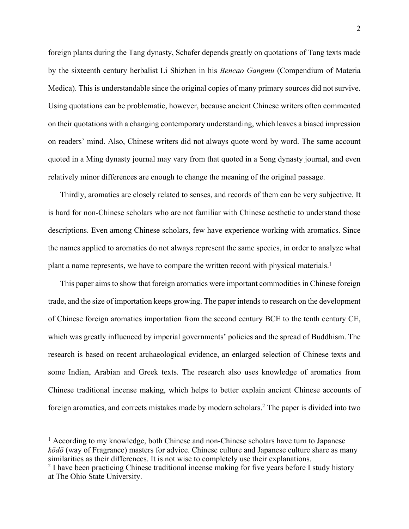foreign plants during the Tang dynasty, Schafer depends greatly on quotations of Tang texts made by the sixteenth century herbalist Li Shizhen in his *Bencao Gangmu* (Compendium of Materia Medica). This is understandable since the original copies of many primary sources did not survive. Using quotations can be problematic, however, because ancient Chinese writers often commented on their quotations with a changing contemporary understanding, which leaves a biased impression on readers' mind. Also, Chinese writers did not always quote word by word. The same account quoted in a Ming dynasty journal may vary from that quoted in a Song dynasty journal, and even relatively minor differences are enough to change the meaning of the original passage.

Thirdly, aromatics are closely related to senses, and records of them can be very subjective. It is hard for non-Chinese scholars who are not familiar with Chinese aesthetic to understand those descriptions. Even among Chinese scholars, few have experience working with aromatics. Since the names applied to aromatics do not always represent the same species, in order to analyze what plant a name represents, we have to compare the written record with physical materials.<sup>1</sup>

This paper aims to show that foreign aromatics were important commodities in Chinese foreign trade, and the size of importation keeps growing. The paper intends to research on the development of Chinese foreign aromatics importation from the second century BCE to the tenth century CE, which was greatly influenced by imperial governments' policies and the spread of Buddhism. The research is based on recent archaeological evidence, an enlarged selection of Chinese texts and some Indian, Arabian and Greek texts. The research also uses knowledge of aromatics from Chinese traditional incense making, which helps to better explain ancient Chinese accounts of foreign aromatics, and corrects mistakes made by modern scholars.2 The paper is divided into two

<sup>&</sup>lt;sup>1</sup> According to my knowledge, both Chinese and non-Chinese scholars have turn to Japanese *kōdō* (way of Fragrance) masters for advice. Chinese culture and Japanese culture share as many similarities as their differences. It is not wise to completely use their explanations.

<sup>&</sup>lt;sup>2</sup> I have been practicing Chinese traditional incense making for five years before I study history at The Ohio State University.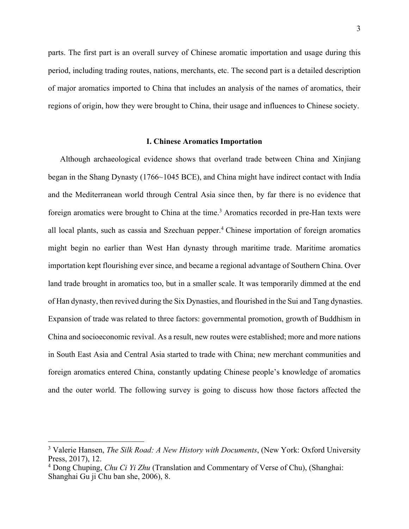parts. The first part is an overall survey of Chinese aromatic importation and usage during this period, including trading routes, nations, merchants, etc. The second part is a detailed description of major aromatics imported to China that includes an analysis of the names of aromatics, their regions of origin, how they were brought to China, their usage and influences to Chinese society.

#### **I. Chinese Aromatics Importation**

Although archaeological evidence shows that overland trade between China and Xinjiang began in the Shang Dynasty (1766~1045 BCE), and China might have indirect contact with India and the Mediterranean world through Central Asia since then, by far there is no evidence that foreign aromatics were brought to China at the time.<sup>3</sup> Aromatics recorded in pre-Han texts were all local plants, such as cassia and Szechuan pepper.<sup>4</sup> Chinese importation of foreign aromatics might begin no earlier than West Han dynasty through maritime trade. Maritime aromatics importation kept flourishing ever since, and became a regional advantage of Southern China. Over land trade brought in aromatics too, but in a smaller scale. It was temporarily dimmed at the end of Han dynasty, then revived during the Six Dynasties, and flourished in the Sui and Tang dynasties. Expansion of trade was related to three factors: governmental promotion, growth of Buddhism in China and socioeconomic revival. As a result, new routes were established; more and more nations in South East Asia and Central Asia started to trade with China; new merchant communities and foreign aromatics entered China, constantly updating Chinese people's knowledge of aromatics and the outer world. The following survey is going to discuss how those factors affected the

 <sup>3</sup> Valerie Hansen, *The Silk Road: A New History with Documents*, (New York: Oxford University Press, 2017), 12.

<sup>4</sup> Dong Chuping, *Chu Ci Yi Zhu* (Translation and Commentary of Verse of Chu), (Shanghai: Shanghai Gu ji Chu ban she, 2006), 8.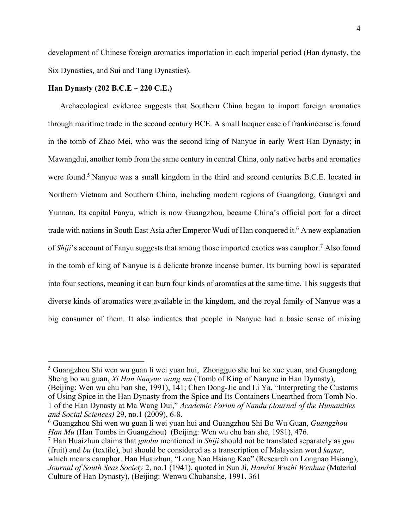development of Chinese foreign aromatics importation in each imperial period (Han dynasty, the Six Dynasties, and Sui and Tang Dynasties).

#### **Han Dynasty (202 B.C.E ~ 220 C.E.)**

Archaeological evidence suggests that Southern China began to import foreign aromatics through maritime trade in the second century BCE. A small lacquer case of frankincense is found in the tomb of Zhao Mei, who was the second king of Nanyue in early West Han Dynasty; in Mawangdui, another tomb from the same century in central China, only native herbs and aromatics were found.<sup>5</sup> Nanyue was a small kingdom in the third and second centuries B.C.E. located in Northern Vietnam and Southern China, including modern regions of Guangdong, Guangxi and Yunnan. Its capital Fanyu, which is now Guangzhou, became China's official port for a direct trade with nations in South East Asia after Emperor Wudi of Han conquered it.<sup>6</sup> A new explanation of *Shiji*'s account of Fanyu suggests that among those imported exotics was camphor.7 Also found in the tomb of king of Nanyue is a delicate bronze incense burner. Its burning bowl is separated into four sections, meaning it can burn four kinds of aromatics at the same time. This suggests that diverse kinds of aromatics were available in the kingdom, and the royal family of Nanyue was a big consumer of them. It also indicates that people in Nanyue had a basic sense of mixing

<sup>6</sup> Guangzhou Shi wen wu guan li wei yuan hui and Guangzhou Shi Bo Wu Guan, *Guangzhou Han Mu* (Han Tombs in Guangzhou) (Beijing: Wen wu chu ban she, 1981), 476.

 <sup>5</sup> Guangzhou Shi wen wu guan li wei yuan hui, Zhongguo she hui ke xue yuan, and Guangdong Sheng bo wu guan, *Xi Han Nanyue wang mu* (Tomb of King of Nanyue in Han Dynasty),

<sup>(</sup>Beijing: Wen wu chu ban she, 1991), 141; Chen Dong-Jie and Li Ya, "Interpreting the Customs of Using Spice in the Han Dynasty from the Spice and Its Containers Unearthed from Tomb No. 1 of the Han Dynasty at Ma Wang Dui," *Academic Forum of Nandu (Journal of the Humanities and Social Sciences)* 29, no.1 (2009), 6-8.

<sup>7</sup> Han Huaizhun claims that *guobu* mentioned in *Shiji* should not be translated separately as *guo*  (fruit) and *bu* (textile), but should be considered as a transcription of Malaysian word *kapur*, which means camphor. Han Huaizhun, "Long Nao Hsiang Kao" (Research on Longnao Hsiang), *Journal of South Seas Society* 2, no.1 (1941), quoted in Sun Ji, *Handai Wuzhi Wenhua* (Material Culture of Han Dynasty), (Beijing: Wenwu Chubanshe, 1991, 361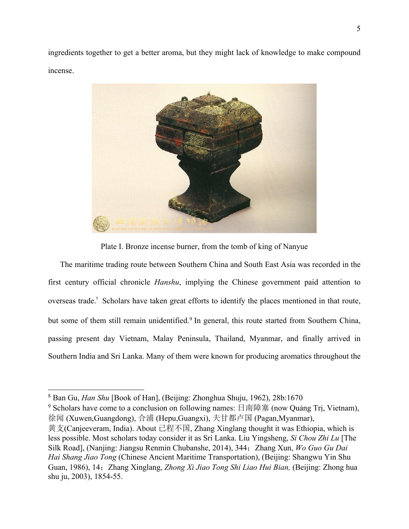ingredients together to get a better aroma, but they might lack of knowledge to make compound incense.



Plate I. Bronze incense burner, from the tomb of king of Nanyue

The maritime trading route between Southern China and South East Asia was recorded in the first century official chronicle *Hanshu*, implying the Chinese government paid attention to overseas trade.<sup>8</sup> Scholars have taken great efforts to identify the places mentioned in that route, but some of them still remain unidentified.<sup>9</sup> In general, this route started from Southern China, passing present day Vietnam, Malay Peninsula, Thailand, Myanmar, and finally arrived in Southern India and Sri Lanka. Many of them were known for producing aromatics throughout the

<sup>9</sup> Scholars have come to a conclusion on following names: 日南障塞 (now Quảng Trị, Vietnam), 徐闻 (Xuwen,Guangdong), 合浦 (Hepu,Guangxi), 夫甘都卢国 (Pagan,Myanmar),

 <sup>8</sup> Ban Gu, *Han Shu* [Book of Han], (Beijing: Zhonghua Shuju, 1962), 28b:1670

黄支(Canjeeveram, India). About 已程不国, Zhang Xinglang thought it was Ethiopia, which is less possible. Most scholars today consider it as Sri Lanka. Liu Yingsheng, *Si Chou Zhi Lu* [The Silk Road], (Nanjing: Jiangsu Renmin Chubanshe, 2014), 344;Zhang Xun, *Wo Guo Gu Dai Hai Shang Jiao Tong* (Chinese Ancient Maritime Transportation), (Beijing: Shangwu Yin Shu Guan, 1986), 14;Zhang Xinglang, *Zhong Xi Jiao Tong Shi Liao Hui Bian,* (Beijing: Zhong hua shu ju, 2003), 1854-55.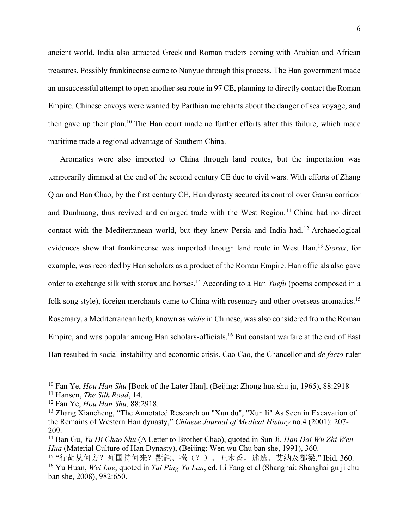ancient world. India also attracted Greek and Roman traders coming with Arabian and African treasures. Possibly frankincense came to Nanyu*e* through this process. The Han government made an unsuccessful attempt to open another sea route in 97 CE, planning to directly contact the Roman Empire. Chinese envoys were warned by Parthian merchants about the danger of sea voyage, and then gave up their plan.<sup>10</sup> The Han court made no further efforts after this failure, which made maritime trade a regional advantage of Southern China.

Aromatics were also imported to China through land routes, but the importation was temporarily dimmed at the end of the second century CE due to civil wars. With efforts of Zhang Qian and Ban Chao, by the first century CE, Han dynasty secured its control over Gansu corridor and Dunhuang, thus revived and enlarged trade with the West Region.<sup>11</sup> China had no direct contact with the Mediterranean world, but they knew Persia and India had.<sup>12</sup> Archaeological evidences show that frankincense was imported through land route in West Han.13 *Storax*, for example, was recorded by Han scholars as a product of the Roman Empire. Han officials also gave order to exchange silk with storax and horses.14 According to a Han *Yuefu* (poems composed in a folk song style), foreign merchants came to China with rosemary and other overseas aromatics.<sup>15</sup> Rosemary, a Mediterranean herb, known as *midie* in Chinese, was also considered from the Roman Empire, and was popular among Han scholars-officials. <sup>16</sup> But constant warfare at the end of East Han resulted in social instability and economic crisis. Cao Cao, the Chancellor and *de facto* ruler

 <sup>10</sup> Fan Ye, *Hou Han Shu* [Book of the Later Han], (Beijing: Zhong hua shu ju, 1965), 88:2918

<sup>11</sup> Hansen, *The Silk Road*, 14.

<sup>12</sup> Fan Ye, *Hou Han Shu,* 88:2918.

<sup>&</sup>lt;sup>13</sup> Zhang Xiancheng, "The Annotated Research on "Xun du", "Xun li" As Seen in Excavation of the Remains of Western Han dynasty," *Chinese Journal of Medical History* no.4 (2001): 207- 209.

<sup>14</sup> Ban Gu, *Yu Di Chao Shu* (A Letter to Brother Chao), quoted in Sun Ji, *Han Dai Wu Zhi Wen Hua* (Material Culture of Han Dynasty), (Beijing: Wen wu Chu ban she, 1991), 360.

<sup>15 &</sup>quot;行胡从何方?列国持何来?氍毹、氆(?)、五木香,迷迭、艾纳及都梁."Ibid, 360. <sup>16</sup> Yu Huan, *Wei Lue*, quoted in *Tai Ping Yu Lan*, ed. Li Fang et al (Shanghai: Shanghai gu ji chu ban she, 2008), 982:650.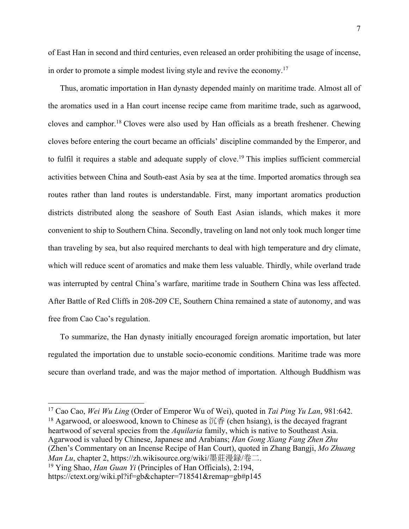of East Han in second and third centuries, even released an order prohibiting the usage of incense, in order to promote a simple modest living style and revive the economy.<sup>17</sup>

Thus, aromatic importation in Han dynasty depended mainly on maritime trade. Almost all of the aromatics used in a Han court incense recipe came from maritime trade, such as agarwood, cloves and camphor.18 Cloves were also used by Han officials as a breath freshener. Chewing cloves before entering the court became an officials' discipline commanded by the Emperor, and to fulfil it requires a stable and adequate supply of clove.<sup>19</sup> This implies sufficient commercial activities between China and South-east Asia by sea at the time. Imported aromatics through sea routes rather than land routes is understandable. First, many important aromatics production districts distributed along the seashore of South East Asian islands, which makes it more convenient to ship to Southern China. Secondly, traveling on land not only took much longer time than traveling by sea, but also required merchants to deal with high temperature and dry climate, which will reduce scent of aromatics and make them less valuable. Thirdly, while overland trade was interrupted by central China's warfare, maritime trade in Southern China was less affected. After Battle of Red Cliffs in 208-209 CE, Southern China remained a state of autonomy, and was free from Cao Cao's regulation.

To summarize, the Han dynasty initially encouraged foreign aromatic importation, but later regulated the importation due to unstable socio-economic conditions. Maritime trade was more secure than overland trade, and was the major method of importation. Although Buddhism was

 17 Cao Cao, *Wei Wu Ling* (Order of Emperor Wu of Wei), quoted in *Tai Ping Yu Lan*, 981:642. <sup>18</sup> Agarwood, or aloeswood, known to Chinese as  $\overline{\pi}$  (chen hsiang), is the decayed fragrant heartwood of several species from the *Aquilaria* family, which is native to Southeast Asia. Agarwood is valued by Chinese, Japanese and Arabians; *Han Gong Xiang Fang Zhen Zhu* (Zhen's Commentary on an Incense Recipe of Han Court), quoted in Zhang Bangji, *Mo Zhuang Man Lu*, chapter 2, https://zh.wikisource.org/wiki/墨莊漫録/卷二.

<sup>19</sup> Ying Shao, *Han Guan Yi* (Principles of Han Officials), 2:194, https://ctext.org/wiki.pl?if=gb&chapter=718541&remap=gb#p145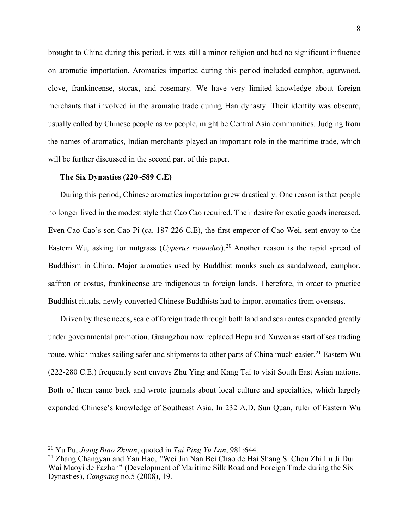brought to China during this period, it was still a minor religion and had no significant influence on aromatic importation. Aromatics imported during this period included camphor, agarwood, clove, frankincense, storax, and rosemary. We have very limited knowledge about foreign merchants that involved in the aromatic trade during Han dynasty. Their identity was obscure, usually called by Chinese people as *hu* people, might be Central Asia communities. Judging from the names of aromatics, Indian merchants played an important role in the maritime trade, which will be further discussed in the second part of this paper.

#### **The Six Dynasties (220~589 C.E)**

During this period, Chinese aromatics importation grew drastically. One reason is that people no longer lived in the modest style that Cao Cao required. Their desire for exotic goods increased. Even Cao Cao's son Cao Pi (ca. 187-226 C.E), the first emperor of Cao Wei, sent envoy to the Eastern Wu, asking for nutgrass (*Cyperus rotundus*).<sup>20</sup> Another reason is the rapid spread of Buddhism in China. Major aromatics used by Buddhist monks such as sandalwood, camphor, saffron or costus, frankincense are indigenous to foreign lands. Therefore, in order to practice Buddhist rituals, newly converted Chinese Buddhists had to import aromatics from overseas.

Driven by these needs, scale of foreign trade through both land and sea routes expanded greatly under governmental promotion. Guangzhou now replaced Hepu and Xuwen as start of sea trading route, which makes sailing safer and shipments to other parts of China much easier.<sup>21</sup> Eastern Wu (222-280 C.E.) frequently sent envoys Zhu Ying and Kang Tai to visit South East Asian nations. Both of them came back and wrote journals about local culture and specialties, which largely expanded Chinese's knowledge of Southeast Asia. In 232 A.D. Sun Quan, ruler of Eastern Wu

 <sup>20</sup> Yu Pu, *Jiang Biao Zhuan*, quoted in *Tai Ping Yu Lan*, 981:644.

<sup>21</sup> Zhang Changyan and Yan Hao, *"*Wei Jin Nan Bei Chao de Hai Shang Si Chou Zhi Lu Ji Dui Wai Maoyi de Fazhan" (Development of Maritime Silk Road and Foreign Trade during the Six Dynasties), *Cangsang* no.5 (2008), 19.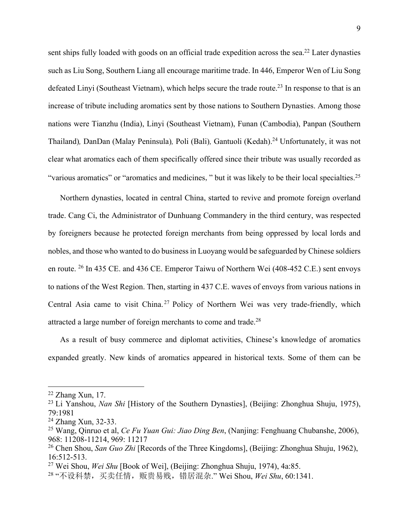sent ships fully loaded with goods on an official trade expedition across the sea.<sup>22</sup> Later dynasties such as Liu Song, Southern Liang all encourage maritime trade. In 446, Emperor Wen of Liu Song defeated Linyi (Southeast Vietnam), which helps secure the trade route.<sup>23</sup> In response to that is an increase of tribute including aromatics sent by those nations to Southern Dynasties. Among those nations were Tianzhu (India), Linyi (Southeast Vietnam), Funan (Cambodia), Panpan (Southern Thailand)*,* DanDan (Malay Peninsula)*,* Poli (Bali)*,* Gantuoli (Kedah). <sup>24</sup> Unfortunately, it was not clear what aromatics each of them specifically offered since their tribute was usually recorded as "various aromatics" or "aromatics and medicines," but it was likely to be their local specialties.25

Northern dynasties, located in central China, started to revive and promote foreign overland trade. Cang Ci, the Administrator of Dunhuang Commandery in the third century, was respected by foreigners because he protected foreign merchants from being oppressed by local lords and nobles, and those who wanted to do business in Luoyang would be safeguarded by Chinese soldiers en route. 26 In 435 CE. and 436 CE. Emperor Taiwu of Northern Wei (408-452 C.E.) sent envoys to nations of the West Region. Then, starting in 437 C.E. waves of envoys from various nations in Central Asia came to visit China.<sup>27</sup> Policy of Northern Wei was very trade-friendly, which attracted a large number of foreign merchants to come and trade.28

As a result of busy commerce and diplomat activities, Chinese's knowledge of aromatics expanded greatly. New kinds of aromatics appeared in historical texts. Some of them can be

 $22$  Zhang Xun, 17.

<sup>23</sup> Li Yanshou, *Nan Shi* [History of the Southern Dynasties], (Beijing: Zhonghua Shuju, 1975), 79:1981

<sup>24</sup> Zhang Xun, 32-33.

<sup>25</sup> Wang, Qinruo et al, *Ce Fu Yuan Gui: Jiao Ding Ben*, (Nanjing: Fenghuang Chubanshe, 2006), 968: 11208-11214, 969: 11217

<sup>26</sup> Chen Shou, *San Guo Zhi* [Records of the Three Kingdoms], (Beijing: Zhonghua Shuju, 1962), 16:512-513.

<sup>27</sup> Wei Shou, *Wei Shu* [Book of Wei], (Beijing: Zhonghua Shuju, 1974), 4a:85.

<sup>&</sup>lt;sup>28</sup> "不设科禁, 买卖任情, 贩贵易贱, 错居混杂." Wei Shou, Wei Shu, 60:1341.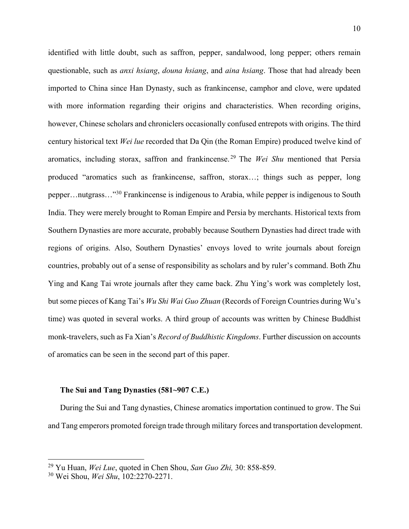identified with little doubt, such as saffron, pepper, sandalwood, long pepper; others remain questionable, such as *anxi hsiang*, *douna hsiang*, and *aina hsiang*. Those that had already been imported to China since Han Dynasty, such as frankincense, camphor and clove, were updated with more information regarding their origins and characteristics. When recording origins, however, Chinese scholars and chroniclers occasionally confused entrepots with origins. The third century historical text *Wei lue* recorded that Da Qin (the Roman Empire) produced twelve kind of aromatics, including storax, saffron and frankincense. <sup>29</sup> The *Wei Shu* mentioned that Persia produced "aromatics such as frankincense, saffron, storax…; things such as pepper, long pepper…nutgrass…"30 Frankincense is indigenous to Arabia, while pepper is indigenous to South India. They were merely brought to Roman Empire and Persia by merchants. Historical texts from Southern Dynasties are more accurate, probably because Southern Dynasties had direct trade with regions of origins. Also, Southern Dynasties' envoys loved to write journals about foreign countries, probably out of a sense of responsibility as scholars and by ruler's command. Both Zhu Ying and Kang Tai wrote journals after they came back. Zhu Ying's work was completely lost, but some pieces of Kang Tai's *Wu Shi Wai Guo Zhuan* (Records of Foreign Countries during Wu's time) was quoted in several works. A third group of accounts was written by Chinese Buddhist monk-travelers, such as Fa Xian's *Record of Buddhistic Kingdoms*. Further discussion on accounts of aromatics can be seen in the second part of this paper.

#### **The Sui and Tang Dynasties (581~907 C.E.)**

During the Sui and Tang dynasties, Chinese aromatics importation continued to grow. The Sui and Tang emperors promoted foreign trade through military forces and transportation development.

 <sup>29</sup> Yu Huan, *Wei Lue*, quoted in Chen Shou, *San Guo Zhi,* 30: 858-859.

<sup>30</sup> Wei Shou, *Wei Shu*, 102:2270-2271.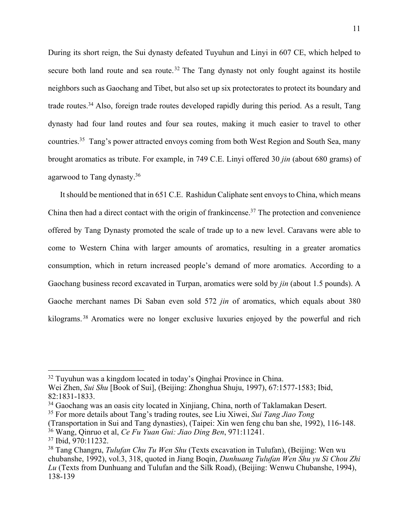During its short reign, the Sui dynasty defeated Tuyuhun and Linyi in 607 CE, which helped to secure both land route and sea route.<sup>32</sup> The Tang dynasty not only fought against its hostile neighbors such as Gaochang and Tibet, but also set up six protectorates to protect its boundary and trade routes.34 Also, foreign trade routes developed rapidly during this period. As a result, Tang dynasty had four land routes and four sea routes, making it much easier to travel to other countries.35 Tang's power attracted envoys coming from both West Region and South Sea, many brought aromatics as tribute. For example, in 749 C.E. Linyi offered 30 *jin* (about 680 grams) of agarwood to Tang dynasty.36

It should be mentioned that in 651 C.E. Rashidun Caliphate sent envoys to China, which means China then had a direct contact with the origin of frankincense.<sup>37</sup> The protection and convenience offered by Tang Dynasty promoted the scale of trade up to a new level. Caravans were able to come to Western China with larger amounts of aromatics, resulting in a greater aromatics consumption, which in return increased people's demand of more aromatics. According to a Gaochang business record excavated in Turpan, aromatics were sold by *jin* (about 1.5 pounds). A Gaoche merchant names Di Saban even sold 572 *jin* of aromatics, which equals about 380 kilograms. <sup>38</sup> Aromatics were no longer exclusive luxuries enjoyed by the powerful and rich

(Transportation in Sui and Tang dynasties), (Taipei: Xin wen feng chu ban she, 1992), 116-148.

<sup>&</sup>lt;sup>32</sup> Tuyuhun was a kingdom located in today's Oinghai Province in China.

Wei Zhen, *Sui Shu* [Book of Sui], (Beijing: Zhonghua Shuju, 1997), 67:1577-1583; Ibid, 82:1831-1833.

<sup>34</sup> Gaochang was an oasis city located in Xinjiang, China, north of Taklamakan Desert.

<sup>35</sup> For more details about Tang's trading routes, see Liu Xiwei, *Sui Tang Jiao Tong*

<sup>36</sup> Wang, Qinruo et al, *Ce Fu Yuan Gui: Jiao Ding Ben*, 971:11241.

<sup>37</sup> Ibid, 970:11232.

<sup>38</sup> Tang Changru, *Tulufan Chu Tu Wen Shu* (Texts excavation in Tulufan), (Beijing: Wen wu chubanshe, 1992), vol.3, 318, quoted in Jiang Boqin, *Dunhuang Tulufan Wen Shu yu Si Chou Zhi Lu* (Texts from Dunhuang and Tulufan and the Silk Road), (Beijing: Wenwu Chubanshe, 1994), 138-139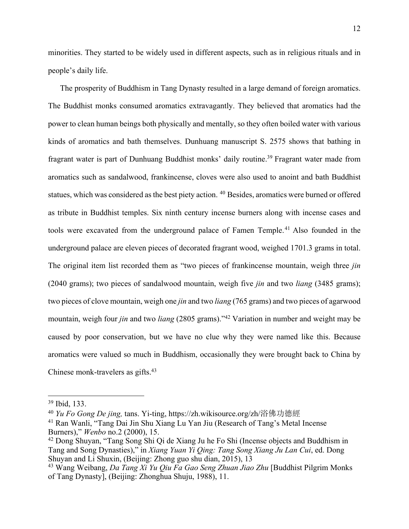minorities. They started to be widely used in different aspects, such as in religious rituals and in people's daily life.

The prosperity of Buddhism in Tang Dynasty resulted in a large demand of foreign aromatics. The Buddhist monks consumed aromatics extravagantly. They believed that aromatics had the power to clean human beings both physically and mentally, so they often boiled water with various kinds of aromatics and bath themselves. Dunhuang manuscript S. 2575 shows that bathing in fragrant water is part of Dunhuang Buddhist monks' daily routine.<sup>39</sup> Fragrant water made from aromatics such as sandalwood, frankincense, cloves were also used to anoint and bath Buddhist statues, which was considered as the best piety action. 40 Besides, aromatics were burned or offered as tribute in Buddhist temples. Six ninth century incense burners along with incense cases and tools were excavated from the underground palace of Famen Temple.<sup>41</sup> Also founded in the underground palace are eleven pieces of decorated fragrant wood, weighed 1701.3 grams in total. The original item list recorded them as "two pieces of frankincense mountain, weigh three *jin* (2040 grams); two pieces of sandalwood mountain, weigh five *jin* and two *liang* (3485 grams); two pieces of clove mountain, weigh one *jin* and two *liang* (765 grams) and two pieces of agarwood mountain, weigh four *jin* and two *liang* (2805 grams)."42 Variation in number and weight may be caused by poor conservation, but we have no clue why they were named like this. Because aromatics were valued so much in Buddhism, occasionally they were brought back to China by Chinese monk-travelers as gifts.<sup>43</sup>

 <sup>39</sup> Ibid, 133.

<sup>40</sup> *Yu Fo Gong De jing,* tans. Yi-ting, https://zh.wikisource.org/zh/浴佛功德經

<sup>41</sup> Ran Wanli, "Tang Dai Jin Shu Xiang Lu Yan Jiu (Research of Tang's Metal Incense Burners)," *Wenbo* no.2 (2000), 15.

<sup>42</sup> Dong Shuyan, "Tang Song Shi Qi de Xiang Ju he Fo Shi (Incense objects and Buddhism in Tang and Song Dynasties)," in *Xiang Yuan Yi Qing: Tang Song Xiang Ju Lan Cui*, ed. Dong Shuyan and Li Shuxin, (Beijing: Zhong guo shu dian, 2015), 13

<sup>43</sup> Wang Weibang, *Da Tang Xi Yu Qiu Fa Gao Seng Zhuan Jiao Zhu* [Buddhist Pilgrim Monks of Tang Dynasty], (Beijing: Zhonghua Shuju, 1988), 11.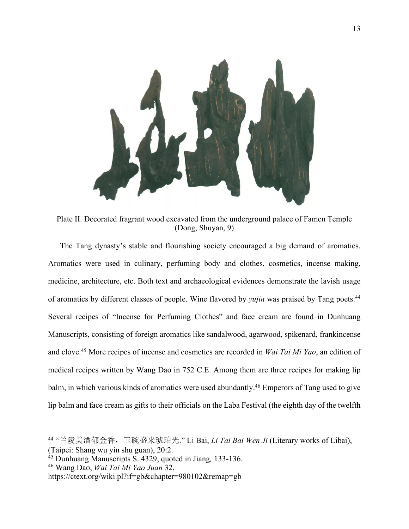

Plate II. Decorated fragrant wood excavated from the underground palace of Famen Temple (Dong, Shuyan, 9)

The Tang dynasty's stable and flourishing society encouraged a big demand of aromatics. Aromatics were used in culinary, perfuming body and clothes, cosmetics, incense making, medicine, architecture, etc. Both text and archaeological evidences demonstrate the lavish usage of aromatics by different classes of people. Wine flavored by *yujin* was praised by Tang poets.44 Several recipes of "Incense for Perfuming Clothes" and face cream are found in Dunhuang Manuscripts, consisting of foreign aromatics like sandalwood, agarwood, spikenard, frankincense and clove.45 More recipes of incense and cosmetics are recorded in *Wai Tai Mi Yao*, an edition of medical recipes written by Wang Dao in 752 C.E. Among them are three recipes for making lip balm, in which various kinds of aromatics were used abundantly.<sup>46</sup> Emperors of Tang used to give lip balm and face cream as gifts to their officials on the Laba Festival (the eighth day of the twelfth

 <sup>44</sup> "兰陵美酒郁金香,玉碗盛来琥珀光." Li Bai, *Li Tai Bai Wen Ji* (Literary works of Libai), (Taipei: Shang wu yin shu guan), 20:2.

<sup>45</sup> Dunhuang Manuscripts S. 4329, quoted in Jiang*,* 133-136.

<sup>46</sup> Wang Dao, *Wai Tai Mi Yao Juan* 32,

https://ctext.org/wiki.pl?if=gb&chapter=980102&remap=gb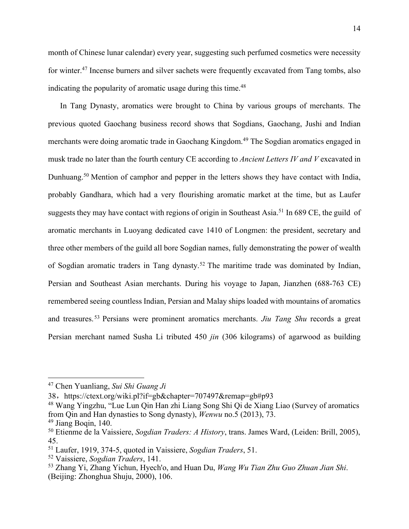month of Chinese lunar calendar) every year, suggesting such perfumed cosmetics were necessity for winter.<sup>47</sup> Incense burners and silver sachets were frequently excavated from Tang tombs, also indicating the popularity of aromatic usage during this time.<sup>48</sup>

In Tang Dynasty, aromatics were brought to China by various groups of merchants. The previous quoted Gaochang business record shows that Sogdians, Gaochang, Jushi and Indian merchants were doing aromatic trade in Gaochang Kingdom.49 The Sogdian aromatics engaged in musk trade no later than the fourth century CE according to *Ancient Letters IV and V* excavated in Dunhuang.<sup>50</sup> Mention of camphor and pepper in the letters shows they have contact with India, probably Gandhara, which had a very flourishing aromatic market at the time, but as Laufer suggests they may have contact with regions of origin in Southeast Asia.<sup>51</sup> In 689 CE, the guild of aromatic merchants in Luoyang dedicated cave 1410 of Longmen: the president, secretary and three other members of the guild all bore Sogdian names, fully demonstrating the power of wealth of Sogdian aromatic traders in Tang dynasty.<sup>52</sup> The maritime trade was dominated by Indian, Persian and Southeast Asian merchants. During his voyage to Japan, Jianzhen (688-763 CE) remembered seeing countless Indian, Persian and Malay ships loaded with mountains of aromatics and treasures. <sup>53</sup> Persians were prominent aromatics merchants. *Jiu Tang Shu* records a great Persian merchant named Susha Li tributed 450 *jin* (306 kilograms) of agarwood as building

 <sup>47</sup> Chen Yuanliang, *Sui Shi Guang Ji*

<sup>38,</sup> https://ctext.org/wiki.pl?if=gb&chapter=707497&remap=gb#p93

<sup>48</sup> Wang Yingzhu, "Lue Lun Qin Han zhi Liang Song Shi Qi de Xiang Liao (Survey of aromatics from Qin and Han dynasties to Song dynasty), *Wenwu* no.5 (2013), 73.

 $49$  Jiang Boqin, 140.

<sup>50</sup> Etienme de la Vaissiere, *Sogdian Traders: A History*, trans. James Ward, (Leiden: Brill, 2005), 45.

<sup>51</sup> Laufer, 1919, 374-5, quoted in Vaissiere, *Sogdian Traders*, 51.

<sup>52</sup> Vaissiere, *Sogdian Traders*, 141.

<sup>53</sup> Zhang Yi, Zhang Yichun, Hyech'o, and Huan Du, *Wang Wu Tian Zhu Guo Zhuan Jian Shi*. (Beijing: Zhonghua Shuju, 2000), 106.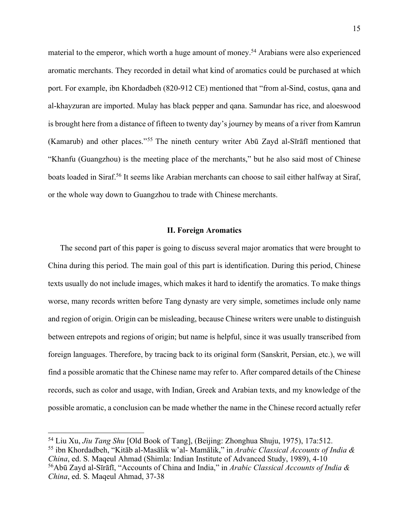material to the emperor, which worth a huge amount of money.<sup>54</sup> Arabians were also experienced aromatic merchants. They recorded in detail what kind of aromatics could be purchased at which port. For example, ibn Khordadbeh (820-912 CE) mentioned that "from al-Sind, costus, qana and al-khayzuran are imported. Mulay has black pepper and qana. Samundar has rice, and aloeswood is brought here from a distance of fifteen to twenty day's journey by means of a river from Kamrun (Kamarub) and other places."55 The nineth century writer Abū Zayd al-Sīrāfī mentioned that "Khanfu (Guangzhou) is the meeting place of the merchants," but he also said most of Chinese boats loaded in Siraf.<sup>56</sup> It seems like Arabian merchants can choose to sail either halfway at Siraf, or the whole way down to Guangzhou to trade with Chinese merchants.

#### **II. Foreign Aromatics**

The second part of this paper is going to discuss several major aromatics that were brought to China during this period. The main goal of this part is identification. During this period, Chinese texts usually do not include images, which makes it hard to identify the aromatics. To make things worse, many records written before Tang dynasty are very simple, sometimes include only name and region of origin. Origin can be misleading, because Chinese writers were unable to distinguish between entrepots and regions of origin; but name is helpful, since it was usually transcribed from foreign languages. Therefore, by tracing back to its original form (Sanskrit, Persian, etc.), we will find a possible aromatic that the Chinese name may refer to. After compared details of the Chinese records, such as color and usage, with Indian, Greek and Arabian texts, and my knowledge of the possible aromatic, a conclusion can be made whether the name in the Chinese record actually refer

 <sup>54</sup> Liu Xu, *Jiu Tang Shu* [Old Book of Tang], (Beijing: Zhonghua Shuju, 1975), 17a:512. <sup>55</sup> ibn Khordadbeh, "Kitāb al-Masālik w'al- Mamālik," in *Arabic Classical Accounts of India & China*, ed. S. Maqeul Ahmad (Shimla: Indian Institute of Advanced Study, 1989), 4-10 56Abū Zayd al-Sīrāfī, "Accounts of China and India," in *Arabic Classical Accounts of India & China*, ed. S. Maqeul Ahmad, 37-38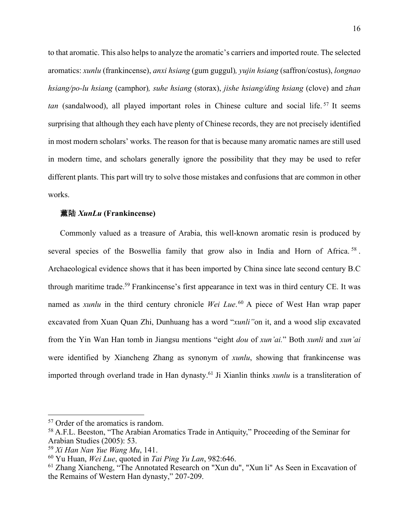to that aromatic. This also helps to analyze the aromatic's carriers and imported route. The selected aromatics: *xunlu* (frankincense), *anxi hsiang* (gum guggul)*, yujin hsiang* (saffron/costus), *longnao hsiang/po-lu hsiang* (camphor)*, suhe hsiang* (storax), *jishe hsiang/ding hsiang* (clove) and *zhan tan* (sandalwood), all played important roles in Chinese culture and social life.<sup>57</sup> It seems surprising that although they each have plenty of Chinese records, they are not precisely identified in most modern scholars' works. The reason for that is because many aromatic names are still used in modern time, and scholars generally ignore the possibility that they may be used to refer different plants. This part will try to solve those mistakes and confusions that are common in other works.

#### 薰陆 *XunLu* **(Frankincense)**

Commonly valued as a treasure of Arabia, this well-known aromatic resin is produced by several species of the Boswellia family that grow also in India and Horn of Africa.<sup>58</sup>. Archaeological evidence shows that it has been imported by China since late second century B.C through maritime trade.<sup>59</sup> Frankincense's first appearance in text was in third century CE. It was named as *xunlu* in the third century chronicle *Wei Lue*.<sup>60</sup> A piece of West Han wrap paper excavated from Xuan Quan Zhi, Dunhuang has a word "*xunli"*on it, and a wood slip excavated from the Yin Wan Han tomb in Jiangsu mentions "eight *dou* of *xun'ai.*" Both *xunli* and *xun'ai* were identified by Xiancheng Zhang as synonym of *xunlu*, showing that frankincense was imported through overland trade in Han dynasty.61 Ji Xianlin thinks *xunlu* is a transliteration of

<sup>&</sup>lt;sup>57</sup> Order of the aromatics is random.

<sup>58</sup> A.F.L. Beeston, "The Arabian Aromatics Trade in Antiquity," Proceeding of the Seminar for Arabian Studies (2005): 53.

<sup>59</sup> *Xi Han Nan Yue Wang Mu*, 141.

<sup>60</sup> Yu Huan, *Wei Lue*, quoted in *Tai Ping Yu Lan*, 982:646.

<sup>61</sup> Zhang Xiancheng, "The Annotated Research on "Xun du", "Xun li" As Seen in Excavation of the Remains of Western Han dynasty," 207-209.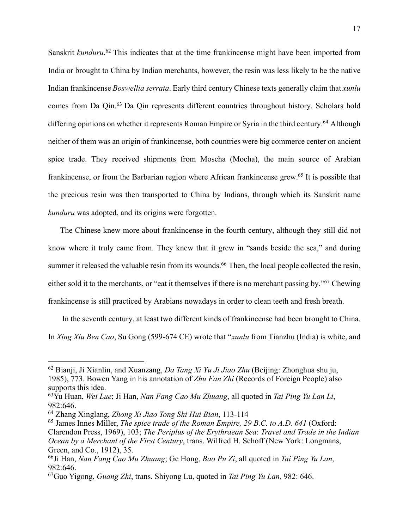Sanskrit *kunduru*.<sup>62</sup> This indicates that at the time frankincense might have been imported from India or brought to China by Indian merchants, however, the resin was less likely to be the native Indian frankincense *Boswellia serrata*. Early third century Chinese texts generally claim that *xunlu* comes from Da Qin.<sup>63</sup> Da Qin represents different countries throughout history. Scholars hold differing opinions on whether it represents Roman Empire or Syria in the third century.<sup>64</sup> Although neither of them was an origin of frankincense, both countries were big commerce center on ancient spice trade. They received shipments from Moscha (Mocha), the main source of Arabian frankincense, or from the Barbarian region where African frankincense grew.<sup>65</sup> It is possible that the precious resin was then transported to China by Indians, through which its Sanskrit name *kunduru* was adopted, and its origins were forgotten.

The Chinese knew more about frankincense in the fourth century, although they still did not know where it truly came from. They knew that it grew in "sands beside the sea," and during summer it released the valuable resin from its wounds.<sup>66</sup> Then, the local people collected the resin, either sold it to the merchants, or "eat it themselves if there is no merchant passing by."67 Chewing frankincense is still practiced by Arabians nowadays in order to clean teeth and fresh breath.

In the seventh century, at least two different kinds of frankincense had been brought to China. In *Xing Xiu Ben Cao*, Su Gong (599-674 CE) wrote that "*xunlu* from Tianzhu (India) is white, and

 <sup>62</sup> Bianji, Ji Xianlin, and Xuanzang, *Da Tang Xi Yu Ji Jiao Zhu* (Beijing: Zhonghua shu ju, 1985), 773. Bowen Yang in his annotation of *Zhu Fan Zhi* (Records of Foreign People) also supports this idea.

<sup>63</sup>Yu Huan, *Wei Lue*; Ji Han, *Nan Fang Cao Mu Zhuang*, all quoted in *Tai Ping Yu Lan Li*, 982:646.

<sup>64</sup> Zhang Xinglang, *Zhong Xi Jiao Tong Shi Hui Bian*, 113-114

<sup>65</sup> James Innes Miller, *The spice trade of the Roman Empire, 29 B.C. to A.D. 641* (Oxford: Clarendon Press, 1969), 103; *The Periplus of the Erythraean Sea*: *Travel and Trade in the Indian Ocean by a Merchant of the First Century*, trans. Wilfred H. Schoff (New York: Longmans, Green, and Co., 1912), 35.

<sup>66</sup>Ji Han, *Nan Fang Cao Mu Zhuang*; Ge Hong, *Bao Pu Zi*, all quoted in *Tai Ping Yu Lan*, 982:646.

<sup>67</sup>Guo Yigong, *Guang Zhi*, trans. Shiyong Lu, quoted in *Tai Ping Yu Lan,* 982: 646.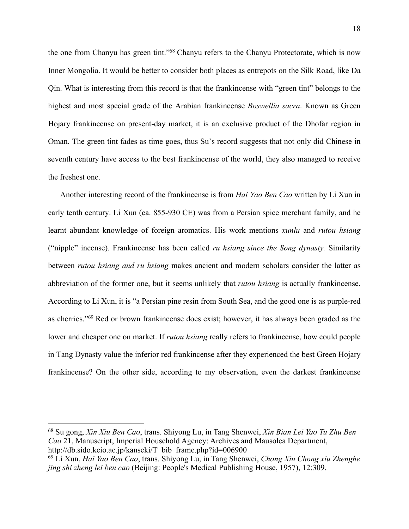the one from Chanyu has green tint."68 Chanyu refers to the Chanyu Protectorate, which is now Inner Mongolia. It would be better to consider both places as entrepots on the Silk Road, like Da Qin. What is interesting from this record is that the frankincense with "green tint" belongs to the highest and most special grade of the Arabian frankincense *Boswellia sacra*. Known as Green Hojary frankincense on present-day market, it is an exclusive product of the Dhofar region in Oman. The green tint fades as time goes, thus Su's record suggests that not only did Chinese in seventh century have access to the best frankincense of the world, they also managed to receive the freshest one.

Another interesting record of the frankincense is from *Hai Yao Ben Cao* written by Li Xun in early tenth century. Li Xun (ca. 855-930 CE) was from a Persian spice merchant family, and he learnt abundant knowledge of foreign aromatics. His work mentions *xunlu* and *rutou hsiang* ("nipple" incense). Frankincense has been called *ru hsiang since the Song dynasty.* Similarity between *rutou hsiang and ru hsiang* makes ancient and modern scholars consider the latter as abbreviation of the former one, but it seems unlikely that *rutou hsiang* is actually frankincense. According to Li Xun, it is "a Persian pine resin from South Sea, and the good one is as purple-red as cherries."69 Red or brown frankincense does exist; however, it has always been graded as the lower and cheaper one on market. If *rutou hsiang* really refers to frankincense, how could people in Tang Dynasty value the inferior red frankincense after they experienced the best Green Hojary frankincense? On the other side, according to my observation, even the darkest frankincense

 <sup>68</sup> Su gong, *Xin Xiu Ben Cao*, trans. Shiyong Lu, in Tang Shenwei, *Xin Bian Lei Yao Tu Zhu Ben Cao* 21, Manuscript, Imperial Household Agency: Archives and Mausolea Department, http://db.sido.keio.ac.jp/kanseki/T\_bib\_frame.php?id=006900

<sup>69</sup> Li Xun, *Hai Yao Ben Cao*, trans. Shiyong Lu, in Tang Shenwei, *Chong Xiu Chong xiu Zhenghe jing shi zheng lei ben cao* (Beijing: People's Medical Publishing House, 1957), 12:309.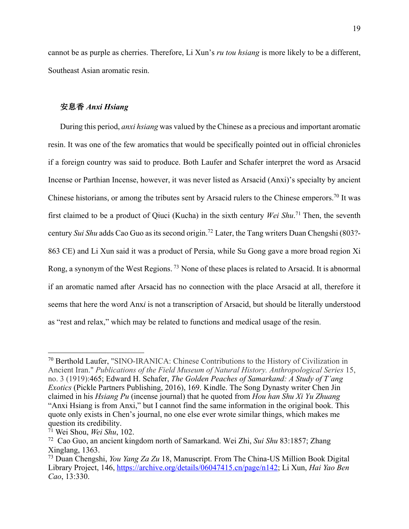cannot be as purple as cherries. Therefore, Li Xun's *ru tou hsiang* is more likely to be a different, Southeast Asian aromatic resin.

## 安息香 *Anxi Hsiang*

During this period, *anxi hsiang* was valued by the Chinese as a precious and important aromatic resin. It was one of the few aromatics that would be specifically pointed out in official chronicles if a foreign country was said to produce. Both Laufer and Schafer interpret the word as Arsacid Incense or Parthian Incense, however, it was never listed as Arsacid (Anxi)'s specialty by ancient Chinese historians, or among the tributes sent by Arsacid rulers to the Chinese emperors.70 It was first claimed to be a product of Qiuci (Kucha) in the sixth century *Wei Shu*. <sup>71</sup> Then, the seventh century *Sui Shu* adds Cao Guo as its second origin.72 Later, the Tang writers Duan Chengshi (803?- 863 CE) and Li Xun said it was a product of Persia, while Su Gong gave a more broad region Xi Rong, a synonym of the West Regions. <sup>73</sup> None of these places is related to Arsacid. It is abnormal if an aromatic named after Arsacid has no connection with the place Arsacid at all, therefore it seems that here the word Anx*i* is not a transcription of Arsacid, but should be literally understood as "rest and relax," which may be related to functions and medical usage of the resin.

 <sup>70</sup> Berthold Laufer, "SINO-IRANICA: Chinese Contributions to the History of Civilization in Ancient Iran." *Publications of the Field Museum of Natural History. Anthropological Series* 15, no. 3 (1919):465; Edward H. Schafer, *The Golden Peaches of Samarkand: A Study of T'ang Exotics* (Pickle Partners Publishing, 2016), 169. Kindle. The Song Dynasty writer Chen Jin claimed in his *Hsiang Pu* (incense journal) that he quoted from *Hou han Shu Xi Yu Zhuang* "Anxi Hsiang is from Anxi," but I cannot find the same information in the original book. This quote only exists in Chen's journal, no one else ever wrote similar things, which makes me question its credibility.

<sup>71</sup> Wei Shou, *Wei Shu*, 102.

<sup>72</sup> Cao Guo, an ancient kingdom north of Samarkand. Wei Zhi, *Sui Shu* 83:1857; Zhang Xinglang, 1363.

<sup>73</sup> Duan Chengshi, *You Yang Za Zu* 18, Manuscript. From The China-US Million Book Digital Library Project, 146, https://archive.org/details/06047415.cn/page/n142; Li Xun, *Hai Yao Ben Cao*, 13:330.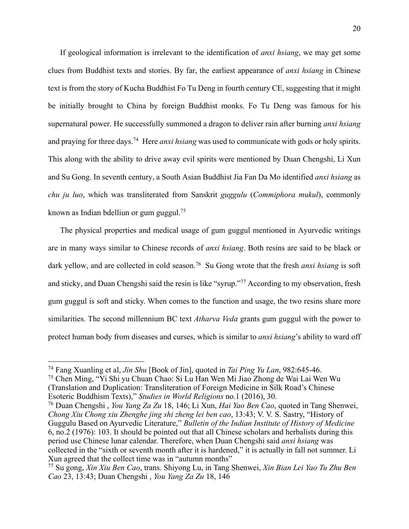If geological information is irrelevant to the identification of *anxi hsiang*, we may get some clues from Buddhist texts and stories. By far, the earliest appearance of *anxi hsiang* in Chinese text is from the story of Kucha Buddhist Fo Tu Deng in fourth century CE, suggesting that it might be initially brought to China by foreign Buddhist monks. Fo Tu Deng was famous for his supernatural power. He successfully summoned a dragon to deliver rain after burning *anxi hsiang* and praying for three days.74 Here *anxi hsiang* was used to communicate with gods or holy spirits. This along with the ability to drive away evil spirits were mentioned by Duan Chengshi, Li Xun and Su Gong. In seventh century, a South Asian Buddhist Jia Fan Da Mo identified *anxi hsiang* as *chu ju luo*, which was transliterated from Sanskrit *guggulu* (*Commiphora mukul*), commonly known as Indian bdelliun or gum guggul.75

The physical properties and medical usage of gum guggul mentioned in Ayurvedic writings are in many ways similar to Chinese records of *anxi hsiang*. Both resins are said to be black or dark yellow, and are collected in cold season.<sup>76</sup> Su Gong wrote that the fresh *anxi hsiang* is soft and sticky, and Duan Chengshi said the resin is like "syrup."77 According to my observation, fresh gum guggul is soft and sticky. When comes to the function and usage, the two resins share more similarities. The second millennium BC text *Atharva Veda* grants gum guggul with the power to protect human body from diseases and curses, which is similar to *anxi hsiang*'s ability to ward off

<sup>75</sup> Chen Ming, "Yi Shi yu Chuan Chao: Si Lu Han Wen Mi Jiao Zhong de Wai Lai Wen Wu (Translation and Duplication: Transliteration of Foreign Medicine in Silk Road's Chinese Esoteric Buddhism Texts)," *Studies in World Religions* no.1 (2016), 30.

<sup>76</sup> Duan Chengshi , *You Yang Za Zu* 18, 146; Li Xun, *Hai Yao Ben Cao*, quoted in Tang Shenwei, *Chong Xiu Chong xiu Zhenghe jing shi zheng lei ben cao*, 13:43; V. V. S. Sastry, "History of Guggulu Based on Ayurvedic Literature," *Bulletin of the Indian Institute of History of Medicine* 6, no.2 (1976): 103. It should be pointed out that all Chinese scholars and herbalists during this period use Chinese lunar calendar. Therefore, when Duan Chengshi said *anxi hsiang* was collected in the "sixth or seventh month after it is hardened," it is actually in fall not summer. Li Xun agreed that the collect time was in "autumn months"

 <sup>74</sup> Fang Xuanling et al, *Jin Shu* [Book of Jin], quoted in *Tai Ping Yu Lan*, 982:645-46.

<sup>77</sup> Su gong, *Xin Xiu Ben Cao*, trans. Shiyong Lu, in Tang Shenwei, *Xin Bian Lei Yao Tu Zhu Ben Cao* 23, 13:43; Duan Chengshi , *You Yang Za Zu* 18, 146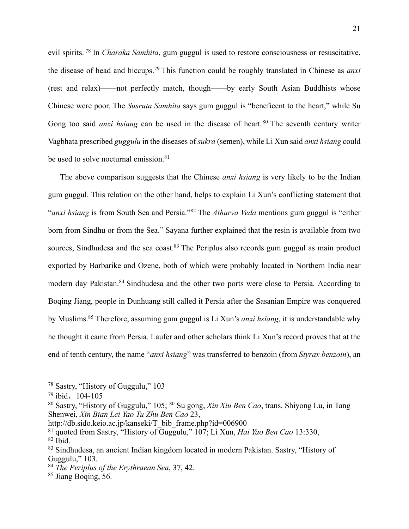evil spirits. <sup>78</sup> In *Charaka Samhita*, gum guggul is used to restore consciousness or resuscitative, the disease of head and hiccups.79 This function could be roughly translated in Chinese as *anxi* (rest and relax)——not perfectly match, though——by early South Asian Buddhists whose Chinese were poor. The *Susruta Samhita* says gum guggul is "beneficent to the heart," while Su Gong too said *anxi hsiang* can be used in the disease of heart.<sup>80</sup> The seventh century writer Vagbhata prescribed *guggulu* in the diseases of *sukra* (semen), while Li Xun said *anxi hsiang* could be used to solve nocturnal emission.<sup>81</sup>

The above comparison suggests that the Chinese *anxi hsiang* is very likely to be the Indian gum guggul. This relation on the other hand, helps to explain Li Xun's conflicting statement that "*anxi hsiang* is from South Sea and Persia."82 The *Atharva Veda* mentions gum guggul is "either born from Sindhu or from the Sea." Sayana further explained that the resin is available from two sources, Sindhudesa and the sea coast.<sup>83</sup> The Periplus also records gum guggul as main product exported by Barbarike and Ozene, both of which were probably located in Northern India near modern day Pakistan.84 Sindhudesa and the other two ports were close to Persia. According to Boqing Jiang, people in Dunhuang still called it Persia after the Sasanian Empire was conquered by Muslims.85 Therefore, assuming gum guggul is Li Xun's *anxi hsiang*, it is understandable why he thought it came from Persia. Laufer and other scholars think Li Xun's record proves that at the end of tenth century, the name "*anxi hsiang*" was transferred to benzoin (from *Styrax benzoin*), an

 <sup>78</sup> Sastry, "History of Guggulu," 103

 $79$  ibid, 104-105

<sup>80</sup> Sastry, "History of Guggulu," 105; 80 Su gong, *Xin Xiu Ben Cao*, trans. Shiyong Lu, in Tang Shenwei, *Xin Bian Lei Yao Tu Zhu Ben Cao* 23,

http://db.sido.keio.ac.jp/kanseki/T\_bib\_frame.php?id=006900

<sup>81</sup> quoted from Sastry, "History of Guggulu," 107; Li Xun, *Hai Yao Ben Cao* 13:330, 82 Ibid.

<sup>83</sup> Sindhudesa, an ancient Indian kingdom located in modern Pakistan. Sastry, "History of Guggulu," 103.

<sup>84</sup> *The Periplus of the Erythraean Sea*, 37, 42.

<sup>&</sup>lt;sup>85</sup> Jiang Boqing, 56.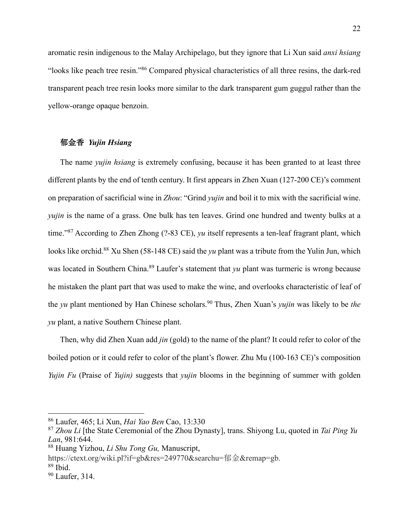aromatic resin indigenous to the Malay Archipelago, but they ignore that Li Xun said *anxi hsiang* "looks like peach tree resin."86 Compared physical characteristics of all three resins, the dark-red transparent peach tree resin looks more similar to the dark transparent gum guggul rather than the yellow-orange opaque benzoin.

## 郁金香 *Yujin Hsiang*

The name *yujin hsiang* is extremely confusing, because it has been granted to at least three different plants by the end of tenth century. It first appears in Zhen Xuan (127-200 CE)'s comment on preparation of sacrificial wine in *Zhou*: "Grind *yujin* and boil it to mix with the sacrificial wine. *yujin* is the name of a grass. One bulk has ten leaves. Grind one hundred and twenty bulks at a time."<sup>87</sup> According to Zhen Zhong (?-83 CE), *yu* itself represents a ten-leaf fragrant plant, which looks like orchid.<sup>88</sup> Xu Shen (58-148 CE) said the *yu* plant was a tribute from the Yulin Jun, which was located in Southern China.89 Laufer's statement that *yu* plant was turmeric is wrong because he mistaken the plant part that was used to make the wine, and overlooks characteristic of leaf of the *yu* plant mentioned by Han Chinese scholars.90 Thus, Zhen Xuan's *yujin* was likely to be *the yu* plant, a native Southern Chinese plant.

Then, why did Zhen Xuan add *jin* (gold) to the name of the plant? It could refer to color of the boiled potion or it could refer to color of the plant's flower. Zhu Mu (100-163 CE)'s composition *Yujin Fu* (Praise of *Yujin)* suggests that *yujin* blooms in the beginning of summer with golden

 <sup>86</sup> Laufer, 465; Li Xun, *Hai Yao Ben* Cao, 13:330

<sup>87</sup> *Zhou Li* [the State Ceremonial of the Zhou Dynasty], trans. Shiyong Lu, quoted in *Tai Ping Yu Lan*, 981:644.

<sup>88</sup> Huang Yizhou, *Li Shu Tong Gu,* Manuscript,

https://ctext.org/wiki.pl?if=gb&res=249770&searchu=郁金&remap=gb.

<sup>89</sup> Ibid.

<sup>90</sup> Laufer, 314.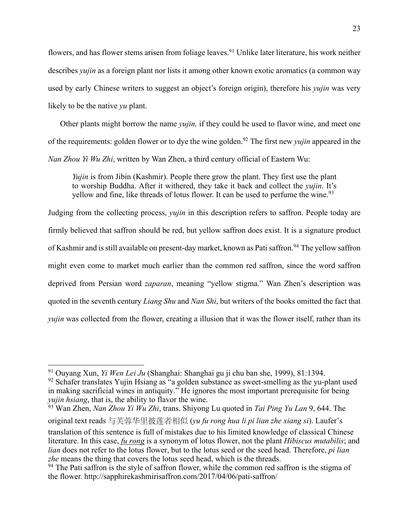flowers, and has flower stems arisen from foliage leaves. <sup>91</sup> Unlike later literature, his work neither describes *yujin* as a foreign plant nor lists it among other known exotic aromatics (a common way used by early Chinese writers to suggest an object's foreign origin), therefore his *yujin* was very likely to be the native *yu* plant.

Other plants might borrow the name *yujin,* if they could be used to flavor wine, and meet one of the requirements: golden flower or to dye the wine golden.92 The first new *yujin* appeared in the *Nan Zhou Yi Wu Zhi*, written by Wan Zhen, a third century official of Eastern Wu:

*Yujin* is from Jibin (Kashmir). People there grow the plant. They first use the plant to worship Buddha. After it withered, they take it back and collect the *yujin*. It's yellow and fine, like threads of lotus flower. It can be used to perfume the wine.  $93$ 

Judging from the collecting process, *yujin* in this description refers to saffron. People today are firmly believed that saffron should be red, but yellow saffron does exist. It is a signature product of Kashmir and is still available on present-day market, known as Pati saffron.<sup>94</sup> The yellow saffron might even come to market much earlier than the common red saffron, since the word saffron deprived from Persian word *zaparan*, meaning "yellow stigma." Wan Zhen's description was quoted in the seventh century *Liang Shu* and *Nan Shi*, but writers of the books omitted the fact that *yujin* was collected from the flower, creating a illusion that it was the flower itself, rather than its

<sup>93</sup> Wan Zhen, *Nan Zhou Yi Wu Zhi*, trans. Shiyong Lu quoted in *Tai Ping Yu Lan* 9, 644. The

original text reads 与芙蓉华⾥披莲者相似 (*yu fu rong hua li pi lian zhe xiang si*). Laufer's

 <sup>91</sup> Ouyang Xun, *Yi Wen Lei Ju* (Shanghai: Shanghai gu ji chu ban she, 1999), 81:1394.

<sup>&</sup>lt;sup>92</sup> Schafer translates Yujin Hsiang as "a golden substance as sweet-smelling as the yu-plant used in making sacrificial wines in antiquity." He ignores the most important prerequisite for being *yujin hsiang*, that is, the ability to flavor the wine.

translation of this sentence is full of mistakes due to his limited knowledge of classical Chinese literature. In this case, *fu rong* is a synonym of lotus flower, not the plant *Hibiscus mutabilis*; and *lian* does not refer to the lotus flower, but to the lotus seed or the seed head. Therefore, *pi lian zhe* means the thing that covers the lotus seed head, which is the threads.

<sup>&</sup>lt;sup>94</sup> The Pati saffron is the style of saffron flower, while the common red saffron is the stigma of the flower. http://sapphirekashmirisaffron.com/2017/04/06/pati-saffron/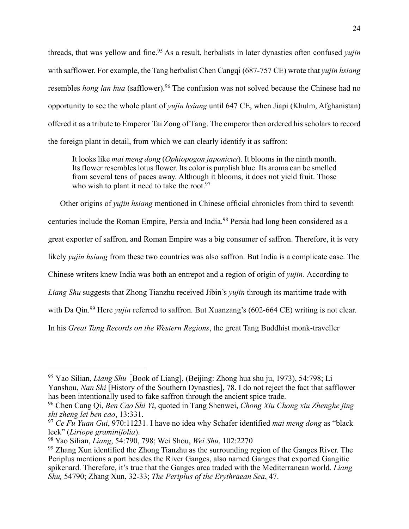threads, that was yellow and fine. <sup>95</sup> As a result, herbalists in later dynasties often confused *yujin* with safflower. For example, the Tang herbalist Chen Cangqi (687-757 CE) wrote that *yujin hsiang* resembles *hong lan hua* (safflower).<sup>96</sup> The confusion was not solved because the Chinese had no opportunity to see the whole plant of *yujin hsiang* until 647 CE, when Jiapi (Khulm, Afghanistan) offered it as a tribute to Emperor Tai Zong of Tang. The emperor then ordered his scholars to record the foreign plant in detail, from which we can clearly identify it as saffron:

It looks like *mai meng dong* (*Ophiopogon japonicus*). It blooms in the ninth month. Its flower resembles lotus flower. Its color is purplish blue. Its aroma can be smelled from several tens of paces away. Although it blooms, it does not yield fruit. Those who wish to plant it need to take the root. $97$ 

Other origins of *yujin hsiang* mentioned in Chinese official chronicles from third to seventh centuries include the Roman Empire, Persia and India.98 Persia had long been considered as a great exporter of saffron, and Roman Empire was a big consumer of saffron. Therefore, it is very likely *yujin hsiang* from these two countries was also saffron. But India is a complicate case. The Chinese writers knew India was both an entrepot and a region of origin of *yujin.* According to *Liang Shu* suggests that Zhong Tianzhu received Jibin's *yujin* through its maritime trade with with Da Qin.<sup>99</sup> Here *yujin* referred to saffron. But Xuanzang's (602-664 CE) writing is not clear. In his *Great Tang Records on the Western Regions*, the great Tang Buddhist monk-traveller

 <sup>95</sup> Yao Silian, *Liang Shu* [Book of Liang], (Beijing: Zhong hua shu ju, 1973), 54:798; Li Yanshou, *Nan Shi* [History of the Southern Dynasties], 78. I do not reject the fact that safflower has been intentionally used to fake saffron through the ancient spice trade.

<sup>96</sup> Chen Cang Qi, *Ben Cao Shi Yi*, quoted in Tang Shenwei, *Chong Xiu Chong xiu Zhenghe jing shi zheng lei ben cao*, 13:331.

<sup>97</sup> *Ce Fu Yuan Gui*, 970:11231. I have no idea why Schafer identified *mai meng dong* as "black leek" (*Liriope graminifolia*).

<sup>98</sup> Yao Silian, *Liang*, 54:790, 798; Wei Shou, *Wei Shu*, 102:2270

 $99$  Zhang Xun identified the Zhong Tianzhu as the surrounding region of the Ganges River. The Periplus mentions a port besides the River Ganges, also named Ganges that exported Gangitic spikenard. Therefore, it's true that the Ganges area traded with the Mediterranean world. *Liang Shu,* 54790; Zhang Xun, 32-33; *The Periplus of the Erythraean Sea*, 47.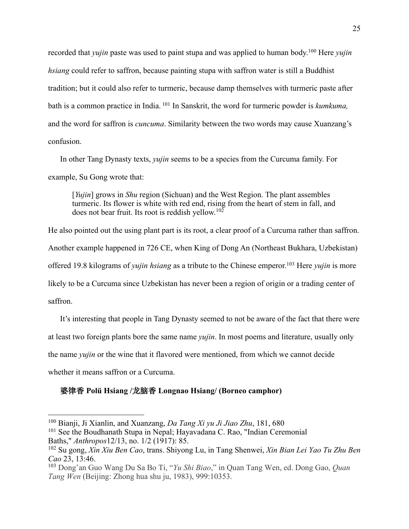recorded that *yujin* paste was used to paint stupa and was applied to human body.100 Here *yujin hsiang* could refer to saffron, because painting stupa with saffron water is still a Buddhist tradition; but it could also refer to turmeric, because damp themselves with turmeric paste after bath is a common practice in India. <sup>101</sup> In Sanskrit, the word for turmeric powder is *kumkuma,* and the word for saffron is *cuncuma*. Similarity between the two words may cause Xuanzang's confusion.

In other Tang Dynasty texts, *yujin* seems to be a species from the Curcuma family. For example, Su Gong wrote that:

[*Yujin*] grows in *Shu* region (Sichuan) and the West Region. The plant assembles turmeric. Its flower is white with red end, rising from the heart of stem in fall, and does not bear fruit. Its root is reddish yellow.102

He also pointed out the using plant part is its root, a clear proof of a Curcuma rather than saffron. Another example happened in 726 CE, when King of Dong An (Northeast Bukhara, Uzbekistan) offered 19.8 kilograms of *yujin hsiang* as a tribute to the Chinese emperor.103 Here *yujin* is more likely to be a Curcuma since Uzbekistan has never been a region of origin or a trading center of saffron.

It's interesting that people in Tang Dynasty seemed to not be aware of the fact that there were at least two foreign plants bore the same name *yujin*. In most poems and literature, usually only the name *yujin* or the wine that it flavored were mentioned, from which we cannot decide whether it means saffron or a Curcuma.

# 婆律香 **Polü Hsiang /**龙脑香 **Longnao Hsiang/ (Borneo camphor)**

 <sup>100</sup> Bianji, Ji Xianlin, and Xuanzang, *Da Tang Xi yu Ji Jiao Zhu*, 181, 680

<sup>&</sup>lt;sup>101</sup> See the Boudhanath Stupa in Nepal; Hayavadana C. Rao, "Indian Ceremonial Baths," *Anthropos*12/13, no. 1/2 (1917): 85.

<sup>102</sup> Su gong, *Xin Xiu Ben Cao*, trans. Shiyong Lu, in Tang Shenwei, *Xin Bian Lei Yao Tu Zhu Ben Cao* 23, 13:46.

<sup>103</sup> Dong'an Guo Wang Du Sa Bo Ti, "*Yu Shi Biao*," in Quan Tang Wen, ed. Dong Gao, *Quan Tang Wen* (Beijing: Zhong hua shu ju, 1983), 999:10353.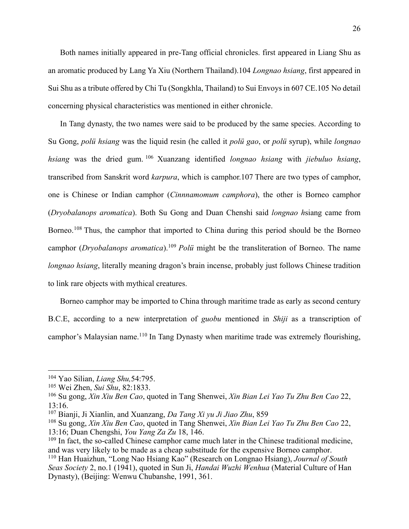Both names initially appeared in pre-Tang official chronicles. first appeared in Liang Shu as an aromatic produced by Lang Ya Xiu (Northern Thailand).104 *Longnao hsiang*, first appeared in Sui Shu as a tribute offered by Chi Tu (Songkhla, Thailand) to Sui Envoys in 607 CE.105 No detail concerning physical characteristics was mentioned in either chronicle.

In Tang dynasty, the two names were said to be produced by the same species. According to Su Gong, *polü hsiang* was the liquid resin (he called it *polü gao*, or *polü* syrup), while *longnao hsiang* was the dried gum. <sup>106</sup> Xuanzang identified *longnao hsiang* with *jiebuluo hsiang*, transcribed from Sanskrit word *karpura*, which is camphor.107 There are two types of camphor, one is Chinese or Indian camphor (*Cinnnamomum camphora*), the other is Borneo camphor (*Dryobalanops aromatica*). Both Su Gong and Duan Chenshi said *longnao h*siang came from Borneo.<sup>108</sup> Thus, the camphor that imported to China during this period should be the Borneo camphor (*Dryobalanops aromatica*).109 *Polü* might be the transliteration of Borneo. The name *longnao hsiang*, literally meaning dragon's brain incense, probably just follows Chinese tradition to link rare objects with mythical creatures.

Borneo camphor may be imported to China through maritime trade as early as second century B.C.E, according to a new interpretation of *guobu* mentioned in *Shiji* as a transcription of camphor's Malaysian name.<sup>110</sup> In Tang Dynasty when maritime trade was extremely flourishing,

<sup>104</sup> Yao Silian, *Liang Shu,*54:795. 105 Wei Zhen, *Sui Shu*, 82:1833.

<sup>106</sup> Su gong, *Xin Xiu Ben Cao*, quoted in Tang Shenwei, *Xin Bian Lei Yao Tu Zhu Ben Cao* 22, 13:16.

<sup>107</sup> Bianji, Ji Xianlin, and Xuanzang, *Da Tang Xi yu Ji Jiao Zhu*, 859

<sup>108</sup> Su gong, *Xin Xiu Ben Cao*, quoted in Tang Shenwei, *Xin Bian Lei Yao Tu Zhu Ben Cao* 22, 13:16; Duan Chengshi, *You Yang Za Zu* 18, 146.

<sup>&</sup>lt;sup>109</sup> In fact, the so-called Chinese camphor came much later in the Chinese traditional medicine, and was very likely to be made as a cheap substitude for the expensive Borneo camphor.

<sup>110</sup> Han Huaizhun, "Long Nao Hsiang Kao" (Research on Longnao Hsiang), *Journal of South Seas Society* 2, no.1 (1941), quoted in Sun Ji, *Handai Wuzhi Wenhua* (Material Culture of Han Dynasty), (Beijing: Wenwu Chubanshe, 1991, 361.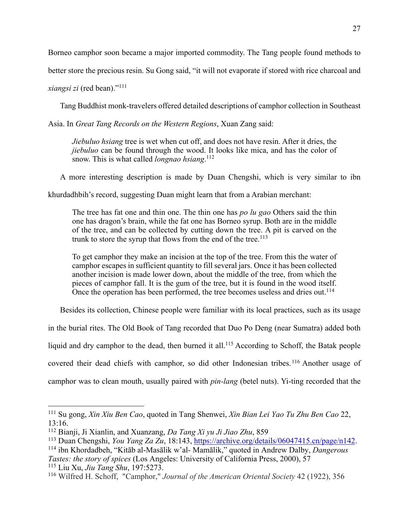Borneo camphor soon became a major imported commodity. The Tang people found methods to

better store the precious resin. Su Gong said, "it will not evaporate if stored with rice charcoal and

*xiangsi zi* (red bean)."111

Tang Buddhist monk-travelers offered detailed descriptions of camphor collection in Southeast

Asia. In *Great Tang Records on the Western Regions*, Xuan Zang said:

*Jiebuluo hsiang* tree is wet when cut off, and does not have resin. After it dries, the *jiebuluo* can be found through the wood. It looks like mica, and has the color of snow. This is what called *longnao hsiang*. 112

A more interesting description is made by Duan Chengshi, which is very similar to ibn

khurdadhbih's record, suggesting Duan might learn that from a Arabian merchant:

The tree has fat one and thin one. The thin one has *po lu gao* Others said the thin one has dragon's brain, while the fat one has Borneo syrup. Both are in the middle of the tree, and can be collected by cutting down the tree. A pit is carved on the trunk to store the syrup that flows from the end of the tree.<sup>113</sup>

To get camphor they make an incision at the top of the tree. From this the water of camphor escapes in sufficient quantity to fill several jars. Once it has been collected another incision is made lower down, about the middle of the tree, from which the pieces of camphor fall. It is the gum of the tree, but it is found in the wood itself. Once the operation has been performed, the tree becomes useless and dries out.<sup>114</sup>

Besides its collection, Chinese people were familiar with its local practices, such as its usage

in the burial rites. The Old Book of Tang recorded that Duo Po Deng (near Sumatra) added both

liquid and dry camphor to the dead, then burned it all.<sup>115</sup> According to Schoff, the Batak people

covered their dead chiefs with camphor, so did other Indonesian tribes.<sup>116</sup> Another usage of

camphor was to clean mouth, usually paired with *pin-lang* (betel nuts). Yi-ting recorded that the

 <sup>111</sup> Su gong, *Xin Xiu Ben Cao*, quoted in Tang Shenwei, *Xin Bian Lei Yao Tu Zhu Ben Cao* 22, 13:16.

<sup>112</sup> Bianji, Ji Xianlin, and Xuanzang, *Da Tang Xi yu Ji Jiao Zhu*, 859

<sup>113</sup> Duan Chengshi, *You Yang Za Zu*, 18:143, https://archive.org/details/06047415.cn/page/n142. 114 ibn Khordadbeh, "Kitāb al-Masālik w'al- Mamālik," quoted in Andrew Dalby, *Dangerous* 

*Tastes: the story of spices* (Los Angeles: University of California Press, 2000), 57 <sup>115</sup> Liu Xu, *Jiu Tang Shu*, 197:5273.

<sup>116</sup> Wilfred H. Schoff, "Camphor," *Journal of the American Oriental Society* 42 (1922), 356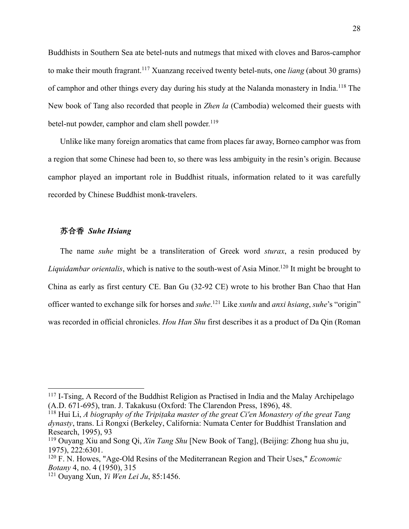Buddhists in Southern Sea ate betel-nuts and nutmegs that mixed with cloves and Baros-camphor to make their mouth fragrant.117 Xuanzang received twenty betel-nuts, one *liang* (about 30 grams) of camphor and other things every day during his study at the Nalanda monastery in India.118 The New book of Tang also recorded that people in *Zhen la* (Cambodia) welcomed their guests with betel-nut powder, camphor and clam shell powder. $119$ 

Unlike like many foreign aromatics that came from places far away, Borneo camphor was from a region that some Chinese had been to, so there was less ambiguity in the resin's origin. Because camphor played an important role in Buddhist rituals, information related to it was carefully recorded by Chinese Buddhist monk-travelers.

## 苏合香 *Suhe Hsiang*

The name *suhe* might be a transliteration of Greek word *sturax*, a resin produced by *Liquidambar orientalis*, which is native to the south-west of Asia Minor.<sup>120</sup> It might be brought to China as early as first century CE. Ban Gu (32-92 CE) wrote to his brother Ban Chao that Han officer wanted to exchange silk for horses and *suhe*. <sup>121</sup> Like *xunlu* and *anxi hsiang*, *suhe*'s "origin" was recorded in official chronicles. *Hou Han Shu* first describes it as a product of Da Qin (Roman

<sup>&</sup>lt;sup>117</sup> I-Tsing, A Record of the Buddhist Religion as Practised in India and the Malay Archipelago (A.D. 671-695), tran. J. Takakusu (Oxford: The Clarendon Press, 1896), 48.

<sup>118</sup> Hui Li, *A biography of the Tripiṭaka master of the great Ci'en Monastery of the great Tang dynasty*, trans. Li Rongxi (Berkeley, California: Numata Center for Buddhist Translation and Research, 1995), 93

<sup>119</sup> Ouyang Xiu and Song Qi, *Xin Tang Shu* [New Book of Tang], (Beijing: Zhong hua shu ju, 1975), 222:6301.

<sup>120</sup> F. N. Howes, "Age-Old Resins of the Mediterranean Region and Their Uses," *Economic Botany* 4, no. 4 (1950), 315

<sup>121</sup> Ouyang Xun, *Yi Wen Lei Ju*, 85:1456.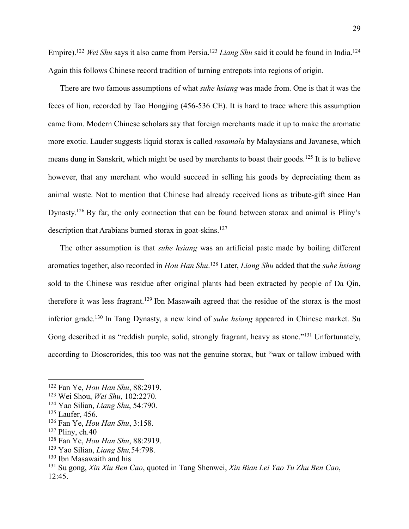Empire).122 *Wei Shu* says it also came from Persia. <sup>123</sup> *Liang Shu* said it could be found in India.124 Again this follows Chinese record tradition of turning entrepots into regions of origin.

There are two famous assumptions of what *suhe hsiang* was made from. One is that it was the feces of lion, recorded by Tao Hongjing (456-536 CE). It is hard to trace where this assumption came from. Modern Chinese scholars say that foreign merchants made it up to make the aromatic more exotic. Lauder suggests liquid storax is called *rasamala* by Malaysians and Javanese, which means dung in Sanskrit, which might be used by merchants to boast their goods.125 It is to believe however, that any merchant who would succeed in selling his goods by depreciating them as animal waste. Not to mention that Chinese had already received lions as tribute-gift since Han Dynasty.<sup>126</sup> By far, the only connection that can be found between storax and animal is Pliny's description that Arabians burned storax in goat-skins.<sup>127</sup>

The other assumption is that *suhe hsiang* was an artificial paste made by boiling different aromatics together, also recorded in *Hou Han Shu*. <sup>128</sup> Later, *Liang Shu* added that the *suhe hsiang* sold to the Chinese was residue after original plants had been extracted by people of Da Qin, therefore it was less fragrant.<sup>129</sup> Ibn Masawaih agreed that the residue of the storax is the most inferior grade.130 In Tang Dynasty, a new kind of *suhe hsiang* appeared in Chinese market. Su Gong described it as "reddish purple, solid, strongly fragrant, heavy as stone."<sup>131</sup> Unfortunately, according to Dioscrorides, this too was not the genuine storax, but "wax or tallow imbued with

 <sup>122</sup> Fan Ye, *Hou Han Shu*, 88:2919.

<sup>123</sup> Wei Shou, *Wei Shu*, 102:2270.

<sup>124</sup> Yao Silian, *Liang Shu*, 54:790.

<sup>125</sup> Laufer, 456.

<sup>126</sup> Fan Ye, *Hou Han Shu*, 3:158.

 $127$  Pliny, ch.40

<sup>128</sup> Fan Ye, *Hou Han Shu*, 88:2919.

<sup>129</sup> Yao Silian, *Liang Shu,*54:798.

<sup>130</sup> Ibn Masawaith and his

<sup>131</sup> Su gong, *Xin Xiu Ben Cao*, quoted in Tang Shenwei, *Xin Bian Lei Yao Tu Zhu Ben Cao*, 12:45.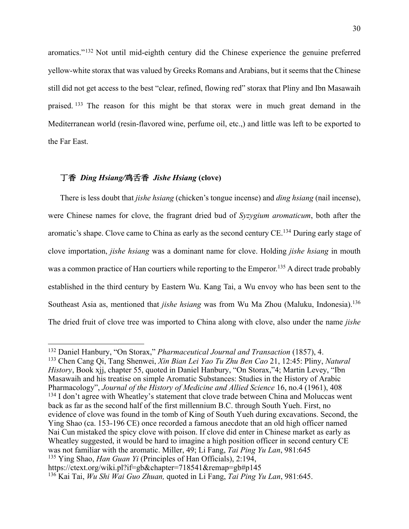aromatics."132 Not until mid-eighth century did the Chinese experience the genuine preferred yellow-white storax that was valued by Greeks Romans and Arabians, but it seems that the Chinese still did not get access to the best "clear, refined, flowing red" storax that Pliny and Ibn Masawaih praised. <sup>133</sup> The reason for this might be that storax were in much great demand in the Mediterranean world (resin-flavored wine, perfume oil, etc.,) and little was left to be exported to the Far East.

## 丁香 *Ding Hsiang/*鸡舌香 *Jishe Hsiang* **(clove)**

There is less doubt that *jishe hsiang* (chicken's tongue incense) and *ding hsiang* (nail incense), were Chinese names for clove, the fragrant dried bud of *Syzygium aromaticum*, both after the aromatic's shape. Clove came to China as early as the second century CE.<sup>134</sup> During early stage of clove importation, *jishe hsiang* was a dominant name for clove. Holding *jishe hsiang* in mouth was a common practice of Han courtiers while reporting to the Emperor.<sup>135</sup> A direct trade probably established in the third century by Eastern Wu. Kang Tai, a Wu envoy who has been sent to the Southeast Asia as, mentioned that *jishe hsiang* was from Wu Ma Zhou (Maluku, Indonesia). 136 The dried fruit of clove tree was imported to China along with clove, also under the name *jishe* 

 <sup>132</sup> Daniel Hanbury, "On Storax," *Pharmaceutical Journal and Transaction* (1857), 4. <sup>133</sup> Chen Cang Qi, Tang Shenwei, *Xin Bian Lei Yao Tu Zhu Ben Cao* 21, 12:45: Pliny, *Natural History*, Book xjj, chapter 55, quoted in Daniel Hanbury, "On Storax,"4; Martin Levey, "Ibn Masawaih and his treatise on simple Aromatic Substances: Studies in the History of Arabic

Pharmacology", *Journal of the History of Medicine and Allied Science* 16, no.4 (1961), 408 <sup>134</sup> I don't agree with Wheatley's statement that clove trade between China and Moluccas went back as far as the second half of the first millennium B.C. through South Yueh. First, no evidence of clove was found in the tomb of King of South Yueh during excavations. Second, the Ying Shao (ca. 153-196 CE) once recorded a famous anecdote that an old high officer named Nai Cun mistaked the spicy clove with poison. If clove did enter in Chinese market as early as Wheatley suggested, it would be hard to imagine a high position officer in second century CE was not familiar with the aromatic. Miller, 49; Li Fang, *Tai Ping Yu Lan*, 981:645 <sup>135</sup> Ying Shao, *Han Guan Yi* (Principles of Han Officials), 2:194, https://ctext.org/wiki.pl?if=gb&chapter=718541&remap=gb#p145

<sup>136</sup> Kai Tai, *Wu Shi Wai Guo Zhuan,* quoted in Li Fang, *Tai Ping Yu Lan*, 981:645.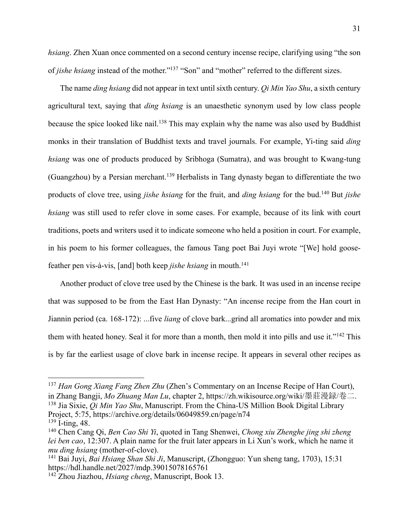*hsiang*. Zhen Xuan once commented on a second century incense recipe, clarifying using "the son of *jishe hsiang* instead of the mother."<sup>137</sup> "Son" and "mother" referred to the different sizes.

The name *ding hsiang* did not appear in text until sixth century. *Qi Min Yao Shu*, a sixth century agricultural text, saying that *ding hsiang* is an unaesthetic synonym used by low class people because the spice looked like nail.<sup>138</sup> This may explain why the name was also used by Buddhist monks in their translation of Buddhist texts and travel journals. For example, Yi-ting said *ding hsiang* was one of products produced by Sribhoga (Sumatra), and was brought to Kwang-tung (Guangzhou) by a Persian merchant.139 Herbalists in Tang dynasty began to differentiate the two products of clove tree, using *jishe hsiang* for the fruit, and *ding hsiang* for the bud.140 But *jishe hsiang* was still used to refer clove in some cases. For example, because of its link with court traditions, poets and writers used it to indicate someone who held a position in court. For example, in his poem to his former colleagues, the famous Tang poet Bai Juyi wrote "[We] hold goosefeather pen vis-à-vis, [and] both keep *jishe hsiang* in mouth.141

Another product of clove tree used by the Chinese is the bark. It was used in an incense recipe that was supposed to be from the East Han Dynasty: "An incense recipe from the Han court in Jiannin period (ca. 168-172): ...five *liang* of clove bark...grind all aromatics into powder and mix them with heated honey. Seal it for more than a month, then mold it into pills and use it."142 This is by far the earliest usage of clove bark in incense recipe. It appears in several other recipes as

 <sup>137</sup> *Han Gong Xiang Fang Zhen Zhu* (Zhen's Commentary on an Incense Recipe of Han Court), in Zhang Bangji, *Mo Zhuang Man Lu*, chapter 2, https://zh.wikisource.org/wiki/墨莊漫録/卷二. <sup>138</sup> Jia Sixie, *Qi Min Yao Shu*, Manuscript. From the China-US Million Book Digital Library Project, 5:75, https://archive.org/details/06049859.cn/page/n74

 $139$  I-ting, 48.

<sup>140</sup> Chen Cang Qi, *Ben Cao Shi Yi*, quoted in Tang Shenwei, *Chong xiu Zhenghe jing shi zheng lei ben cao*, 12:307. A plain name for the fruit later appears in Li Xun's work, which he name it *mu ding hsiang* (mother-of-clove).

<sup>141</sup> Bai Juyi, *Bai Hsiang Shan Shi Ji*, Manuscript, (Zhongguo: Yun sheng tang, 1703), 15:31 https://hdl.handle.net/2027/mdp.39015078165761

<sup>142</sup> Zhou Jiazhou, *Hsiang cheng*, Manuscript, Book 13.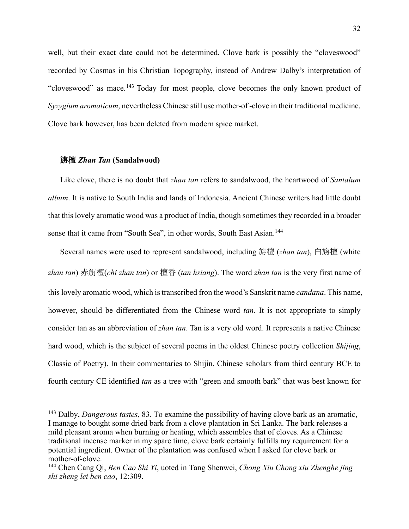well, but their exact date could not be determined. Clove bark is possibly the "cloveswood" recorded by Cosmas in his Christian Topography, instead of Andrew Dalby's interpretation of "cloveswood" as mace.<sup>143</sup> Today for most people, clove becomes the only known product of *Syzygium aromaticum*, nevertheless Chinese still use mother-of -clove in their traditional medicine. Clove bark however, has been deleted from modern spice market.

#### 旃檀 *Zhan Tan* **(Sandalwood)**

Like clove, there is no doubt that *zhan tan* refers to sandalwood, the heartwood of *Santalum album*. It is native to South India and lands of Indonesia. Ancient Chinese writers had little doubt that this lovely aromatic wood was a product of India, though sometimes they recorded in a broader sense that it came from "South Sea", in other words, South East Asian.<sup>144</sup>

Several names were used to represent sandalwood, including 旃檀 (*zhan tan*), 白旃檀 (white *zhan tan*) 赤旃檀(*chi zhan tan*) or 檀香 (*tan hsiang*). The word *zhan tan* is the very first name of this lovely aromatic wood, which is transcribed fron the wood's Sanskrit name *candana*. This name, however, should be differentiated from the Chinese word *tan*. It is not appropriate to simply consider tan as an abbreviation of *zhan tan*. Tan is a very old word. It represents a native Chinese hard wood, which is the subject of several poems in the oldest Chinese poetry collection *Shijing*, Classic of Poetry). In their commentaries to Shijin, Chinese scholars from third century BCE to fourth century CE identified *tan* as a tree with "green and smooth bark" that was best known for

 <sup>143</sup> Dalby, *Dangerous tastes*, 83. To examine the possibility of having clove bark as an aromatic, I manage to bought some dried bark from a clove plantation in Sri Lanka. The bark releases a mild pleasant aroma when burning or heating, which assembles that of cloves. As a Chinese traditional incense marker in my spare time, clove bark certainly fulfills my requirement for a potential ingredient. Owner of the plantation was confused when I asked for clove bark or mother-of-clove.

<sup>144</sup> Chen Cang Qi, *Ben Cao Shi Yi*, uoted in Tang Shenwei, *Chong Xiu Chong xiu Zhenghe jing shi zheng lei ben cao*, 12:309.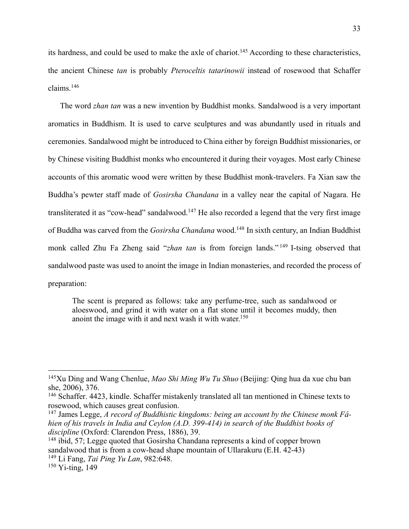its hardness, and could be used to make the axle of chariot.<sup>145</sup> According to these characteristics, the ancient Chinese *tan* is probably *Pteroceltis tatarinowii* instead of rosewood that Schaffer claims.146

The word *zhan tan* was a new invention by Buddhist monks. Sandalwood is a very important aromatics in Buddhism. It is used to carve sculptures and was abundantly used in rituals and ceremonies. Sandalwood might be introduced to China either by foreign Buddhist missionaries, or by Chinese visiting Buddhist monks who encountered it during their voyages. Most early Chinese accounts of this aromatic wood were written by these Buddhist monk-travelers. Fa Xian saw the Buddha's pewter staff made of *Gosirsha Chandana* in a valley near the capital of Nagara. He transliterated it as "cow-head" sandalwood.<sup>147</sup> He also recorded a legend that the very first image of Buddha was carved from the *Gosirsha Chandana* wood.<sup>148</sup> In sixth century, an Indian Buddhist monk called Zhu Fa Zheng said "*zhan tan* is from foreign lands." <sup>149</sup> I-tsing observed that sandalwood paste was used to anoint the image in Indian monasteries, and recorded the process of preparation:

The scent is prepared as follows: take any perfume-tree, such as sandalwood or aloeswood, and grind it with water on a flat stone until it becomes muddy, then anoint the image with it and next wash it with water.<sup>150</sup>

 <sup>145</sup>Xu Ding and Wang Chenlue, *Mao Shi Ming Wu Tu Shuo* (Beijing: Qing hua da xue chu ban she, 2006), 376.

<sup>146</sup> Schaffer. 4423, kindle. Schaffer mistakenly translated all tan mentioned in Chinese texts to rosewood, which causes great confusion.

<sup>147</sup> James Legge, *A record of Buddhistic kingdoms: being an account by the Chinese monk Fâhien of his travels in India and Ceylon (A.D. 399-414) in search of the Buddhist books of discipline* (Oxford: Clarendon Press, 1886), 39.

<sup>148</sup> ibid, 57; Legge quoted that Gosirsha Chandana represents a kind of copper brown sandalwood that is from a cow-head shape mountain of Ullarakuru (E.H. 42-43) <sup>149</sup> Li Fang, *Tai Ping Yu Lan*, 982:648.

<sup>&</sup>lt;sup>150</sup> Yi-ting, 149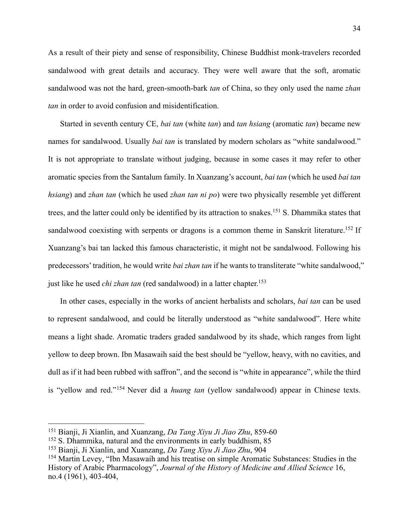As a result of their piety and sense of responsibility, Chinese Buddhist monk-travelers recorded sandalwood with great details and accuracy. They were well aware that the soft, aromatic sandalwood was not the hard, green-smooth-bark *tan* of China, so they only used the name *zhan tan* in order to avoid confusion and misidentification.

Started in seventh century CE, *bai tan* (white *tan*) and *tan hsiang* (aromatic *tan*) became new names for sandalwood. Usually *bai tan* is translated by modern scholars as "white sandalwood." It is not appropriate to translate without judging, because in some cases it may refer to other aromatic species from the Santalum family. In Xuanzang's account, *bai tan* (which he used *bai tan hsiang*) and *zhan tan* (which he used *zhan tan ni po*) were two physically resemble yet different trees, and the latter could only be identified by its attraction to snakes.151 S. Dhammika states that sandalwood coexisting with serpents or dragons is a common theme in Sanskrit literature.<sup>152</sup> If Xuanzang's bai tan lacked this famous characteristic, it might not be sandalwood. Following his predecessors' tradition, he would write *bai zhan tan* if he wants to transliterate "white sandalwood," just like he used *chi zhan tan* (red sandalwood) in a latter chapter. 153

In other cases, especially in the works of ancient herbalists and scholars, *bai tan* can be used to represent sandalwood, and could be literally understood as "white sandalwood". Here white means a light shade. Aromatic traders graded sandalwood by its shade, which ranges from light yellow to deep brown. Ibn Masawaih said the best should be "yellow, heavy, with no cavities, and dull as if it had been rubbed with saffron", and the second is "white in appearance", while the third is "yellow and red."154 Never did a *huang tan* (yellow sandalwood) appear in Chinese texts.

 <sup>151</sup> Bianji, Ji Xianlin, and Xuanzang, *Da Tang Xiyu Ji Jiao Zhu*, 859-60

<sup>152</sup> S. Dhammika, natural and the environments in early buddhism, 85

<sup>153</sup> Bianji, Ji Xianlin, and Xuanzang, *Da Tang Xiyu Ji Jiao Zhu*, 904

<sup>&</sup>lt;sup>154</sup> Martin Levey, "Ibn Masawaih and his treatise on simple Aromatic Substances: Studies in the History of Arabic Pharmacology", *Journal of the History of Medicine and Allied Science* 16, no.4 (1961), 403-404,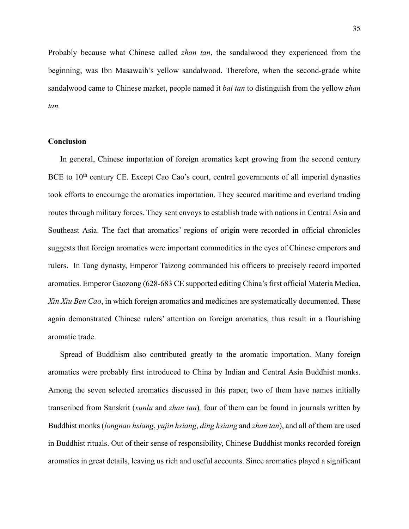Probably because what Chinese called *zhan tan*, the sandalwood they experienced from the beginning, was Ibn Masawaih's yellow sandalwood. Therefore, when the second-grade white sandalwood came to Chinese market, people named it *bai tan* to distinguish from the yellow *zhan tan.*

#### **Conclusion**

In general, Chinese importation of foreign aromatics kept growing from the second century BCE to 10<sup>th</sup> century CE. Except Cao Cao's court, central governments of all imperial dynasties took efforts to encourage the aromatics importation. They secured maritime and overland trading routes through military forces. They sent envoys to establish trade with nations in Central Asia and Southeast Asia. The fact that aromatics' regions of origin were recorded in official chronicles suggests that foreign aromatics were important commodities in the eyes of Chinese emperors and rulers. In Tang dynasty, Emperor Taizong commanded his officers to precisely record imported aromatics. Emperor Gaozong (628-683 CE supported editing China's first official Materia Medica, *Xin Xiu Ben Cao*, in which foreign aromatics and medicines are systematically documented. These again demonstrated Chinese rulers' attention on foreign aromatics, thus result in a flourishing aromatic trade.

Spread of Buddhism also contributed greatly to the aromatic importation. Many foreign aromatics were probably first introduced to China by Indian and Central Asia Buddhist monks. Among the seven selected aromatics discussed in this paper, two of them have names initially transcribed from Sanskrit (*xunlu* and *zhan tan*)*,* four of them can be found in journals written by Buddhist monks (*longnao hsiang*, *yujin hsiang*, *ding hsiang* and *zhan tan*), and all of them are used in Buddhist rituals. Out of their sense of responsibility, Chinese Buddhist monks recorded foreign aromatics in great details, leaving us rich and useful accounts. Since aromatics played a significant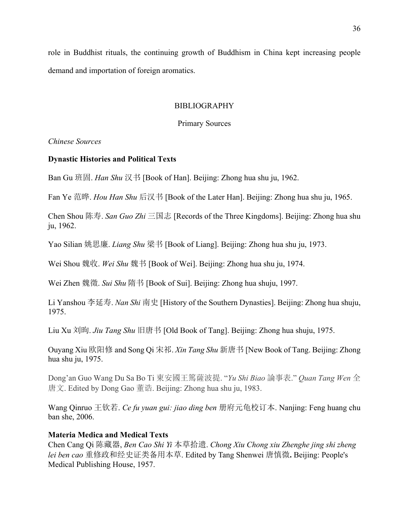role in Buddhist rituals, the continuing growth of Buddhism in China kept increasing people demand and importation of foreign aromatics.

### BIBLIOGRAPHY

Primary Sources

*Chinese Sources*

## **Dynastic Histories and Political Texts**

Ban Gu 班固. *Han Shu* 汉书 [Book of Han]. Beijing: Zhong hua shu ju, 1962.

Fan Ye 范晔. *Hou Han Shu* 后汉书 [Book of the Later Han]. Beijing: Zhong hua shu ju, 1965.

Chen Shou 陈寿. *San Guo Zhi* 三国志 [Records of the Three Kingdoms]. Beijing: Zhong hua shu ju, 1962.

Yao Silian 姚思廉. *Liang Shu* 梁书 [Book of Liang]. Beijing: Zhong hua shu ju, 1973.

Wei Shou 魏收. *Wei Shu* 魏书 [Book of Wei]. Beijing: Zhong hua shu ju, 1974.

Wei Zhen 魏徵. *Sui Shu* 隋书 [Book of Sui]. Beijing: Zhong hua shuju, 1997.

Li Yanshou 李延寿. *Nan Shi* 南史 [History of the Southern Dynasties]. Beijing: Zhong hua shuju, 1975.

Liu Xu 刘昫. *Jiu Tang Shu* 旧唐书 [Old Book of Tang]. Beijing: Zhong hua shuju, 1975.

Ouyang Xiu 欧阳修 and Song Qi 宋祁. *Xin Tang Shu* 新唐书 [New Book of Tang. Beijing: Zhong hua shu ju, 1975.

Dong'an Guo Wang Du Sa Bo Ti 東安國王篤薩波提. "*Yu Shi Biao* 論事表." *Quan Tang Wen* 全 唐文. Edited by Dong Gao 董诰. Beijing: Zhong hua shu ju, 1983.

Wang Qinruo 王钦若. *Ce fu yuan gui: jiao ding ben* 册府元龟校订本. Nanjing: Feng huang chu ban she, 2006.

## **Materia Medica and Medical Texts**

Chen Cang Qi 陈藏器, *Ben Cao Shi Yi* 本草拾遗. *Chong Xiu Chong xiu Zhenghe jing shi zheng lei ben cao* 重修政和经史证类备用本草. Edited by Tang Shenwei 唐慎微**.** Beijing: People's Medical Publishing House, 1957.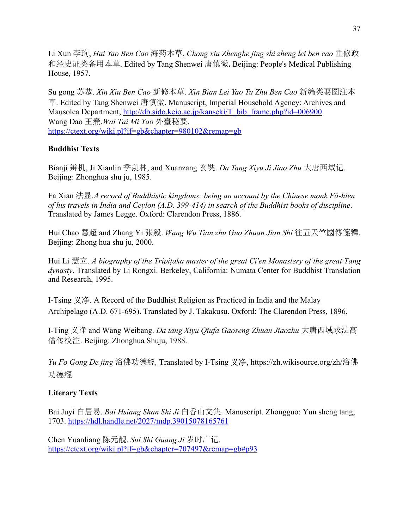Li Xun 李珣, *Hai Yao Ben Cao* 海药本草, *Chong xiu Zhenghe jing shi zheng lei ben cao* 重修政 和经史证类备用本草. Edited by Tang Shenwei 唐慎微**.** Beijing: People's Medical Publishing House, 1957.

Su gong 苏恭. *Xin Xiu Ben Cao* 新修本草. *Xin Bian Lei Yao Tu Zhu Ben Cao* 新编类要图注本 草. Edited by Tang Shenwei 唐慎微**.** Manuscript, Imperial Household Agency: Archives and Mausolea Department, http://db.sido.keio.ac.jp/kanseki/T\_bib\_frame.php?id=006900 Wang Dao 王焘.*Wai Tai Mi Yao* 外臺秘要. https://ctext.org/wiki.pl?if=gb&chapter=980102&remap=gb

## **Buddhist Texts**

Bianji 辩机, Ji Xianlin 季羡林, and Xuanzang 玄奘. *Da Tang Xiyu Ji Jiao Zhu* 大唐西域记. Beijing: Zhonghua shu ju, 1985.

Fa Xian 法显.*A record of Buddhistic kingdoms: being an account by the Chinese monk Fâ-hien of his travels in India and Ceylon (A.D. 399-414) in search of the Buddhist books of discipline*. Translated by James Legge. Oxford: Clarendon Press, 1886.

Hui Chao 慧超 and Zhang Yi 张毅. *Wang Wu Tian zhu Guo Zhuan Jian Shi* 往五天竺國傳箋釋. Beijing: Zhong hua shu ju, 2000.

Hui Li 慧立. *A biography of the Tripiṭaka master of the great Ci'en Monastery of the great Tang dynasty*. Translated by Li Rongxi. Berkeley, California: Numata Center for Buddhist Translation and Research, 1995.

I-Tsing 义净. A Record of the Buddhist Religion as Practiced in India and the Malay Archipelago (A.D. 671-695). Translated by J. Takakusu. Oxford: The Clarendon Press, 1896.

I-Ting 义净 and Wang Weibang. *Da tang Xiyu Qiufa Gaoseng Zhuan Jiaozhu* 大唐西域求法高 僧传校注. Beijing: Zhonghua Shuju, 1988.

*Yu Fo Gong De jing* 浴佛功德經*,* Translated by I-Tsing 义净, https://zh.wikisource.org/zh/浴佛 功德經

## **Literary Texts**

Bai Juyi 白居易. *Bai Hsiang Shan Shi Ji* 白香山文集. Manuscript. Zhongguo: Yun sheng tang, 1703. https://hdl.handle.net/2027/mdp.39015078165761

Chen Yuanliang 陈元靓. *Sui Shi Guang Ji* 岁时广记. https://ctext.org/wiki.pl?if=gb&chapter=707497&remap=gb#p93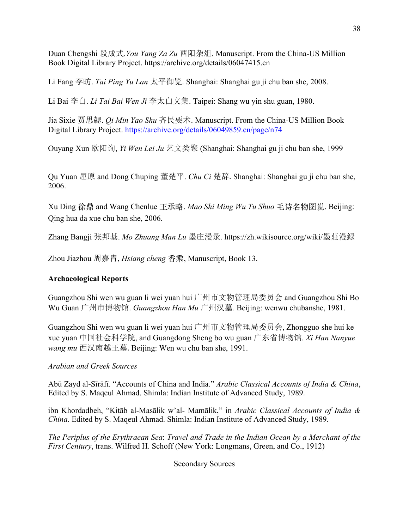Duan Chengshi 段成式.*You Yang Za Zu* 酉阳杂俎. Manuscript. From the China-US Million Book Digital Library Project. https://archive.org/details/06047415.cn

Li Fang 李昉. *Tai Ping Yu Lan* 太平御览. Shanghai: Shanghai gu ji chu ban she, 2008.

Li Bai 李白. *Li Tai Bai Wen Ji* 李太白文集. Taipei: Shang wu yin shu guan, 1980.

Jia Sixie 贾思勰. *Qi Min Yao Shu* 齐民要术. Manuscript. From the China-US Million Book Digital Library Project. https://archive.org/details/06049859.cn/page/n74

Ouyang Xun 欧阳询, *Yi Wen Lei Ju* 艺文类聚 (Shanghai: Shanghai gu ji chu ban she, 1999

Qu Yuan 屈原 and Dong Chuping 董楚平. *Chu Ci* 楚辞.Shanghai: Shanghai gu ji chu ban she, 2006.

Xu Ding 徐鼎 and Wang Chenlue 王承略. *Mao Shi Ming Wu Tu Shuo* 毛诗名物图说. Beijing: Qing hua da xue chu ban she, 2006.

Zhang Bangji 张邦基. *Mo Zhuang Man Lu* 墨庄漫录. https://zh.wikisource.org/wiki/墨莊漫録

Zhou Jiazhou 周嘉胄, *Hsiang cheng* 香乘, Manuscript, Book 13.

# **Archaeological Reports**

Guangzhou Shi wen wu guan li wei yuan hui 广州市文物管理局委员会 and Guangzhou Shi Bo Wu Guan 广州市博物馆. *Guangzhou Han Mu* 广州汉墓*.* Beijing: wenwu chubanshe, 1981.

Guangzhou Shi wen wu guan li wei yuan hui 广州市文物管理局委员会, Zhongguo she hui ke xue yuan 中国社会科学院, and Guangdong Sheng bo wu guan 广东省博物馆. *Xi Han Nanyue wang mu* 西汉南越王墓.Beijing: Wen wu chu ban she, 1991.

## *Arabian and Greek Sources*

Abū Zayd al-Sīrāfī. "Accounts of China and India." *Arabic Classical Accounts of India & China*, Edited by S. Maqeul Ahmad. Shimla: Indian Institute of Advanced Study, 1989.

ibn Khordadbeh, "Kitāb al-Masālik w'al- Mamālik," in *Arabic Classical Accounts of India & China*. Edited by S. Maqeul Ahmad. Shimla: Indian Institute of Advanced Study, 1989.

*The Periplus of the Erythraean Sea*: *Travel and Trade in the Indian Ocean by a Merchant of the First Century*, trans. Wilfred H. Schoff (New York: Longmans, Green, and Co., 1912)

Secondary Sources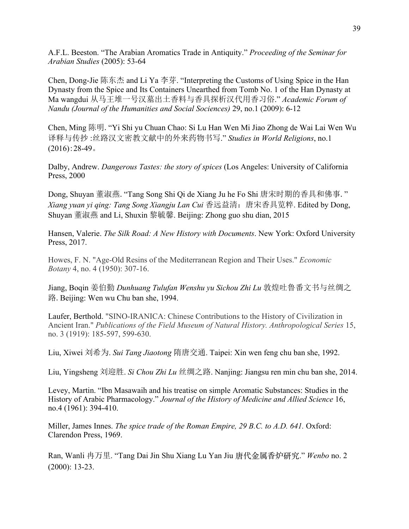A.F.L. Beeston. "The Arabian Aromatics Trade in Antiquity." *Proceeding of the Seminar for Arabian Studies* (2005): 53-64

Chen, Dong-Jie 陈东杰 and Li Ya 李芽. "Interpreting the Customs of Using Spice in the Han Dynasty from the Spice and Its Containers Unearthed from Tomb No. 1 of the Han Dynasty at Ma wangdui 从马王堆一号汉墓出土香料与香具探析汉代用香习俗." *Academic Forum of Nandu (Journal of the Humanities and Social Sociences)* 29, no.1 (2009): 6-12

Chen, Ming 陈明."Yi Shi yu Chuan Chao: Si Lu Han Wen Mi Jiao Zhong de Wai Lai Wen Wu 译释与传抄 :丝路汉文密教文献中的外来药物书写." *Studies in World Religions*, no.1  $(2016):28-49$ 

Dalby, Andrew. *Dangerous Tastes: the story of spices* (Los Angeles: University of California Press, 2000

Dong, Shuyan 董淑燕."Tang Song Shi Qi de Xiang Ju he Fo Shi 唐宋时期的香具和佛事." *Xiang yuan yi qing: Tang Song Xiangju Lan Cui* 香远益清:唐宋香具览粹. Edited by Dong, Shuyan 董淑燕 and Li, Shuxin 黎毓馨. Beijing: Zhong guo shu dian, 2015

Hansen, Valerie. *The Silk Road: A New History with Documents*. New York: Oxford University Press, 2017.

Howes, F. N. "Age-Old Resins of the Mediterranean Region and Their Uses." *Economic Botany* 4, no. 4 (1950): 307-16.

Jiang, Boqin 姜伯勤 *Dunhuang Tulufan Wenshu yu Sichou Zhi Lu* 敦煌吐鲁番文书与丝绸之 路.Beijing: Wen wu Chu ban she, 1994.

Laufer, Berthold. "SINO-IRANICA: Chinese Contributions to the History of Civilization in Ancient Iran." *Publications of the Field Museum of Natural History. Anthropological Series* 15, no. 3 (1919): 185-597, 599-630.

Liu, Xiwei 刘希为. *Sui Tang Jiaotong* 隋唐交通. Taipei: Xin wen feng chu ban she, 1992.

Liu, Yingsheng 刘迎胜. *Si Chou Zhi Lu* 丝绸之路. Nanjing: Jiangsu ren min chu ban she, 2014.

Levey, Martin. "Ibn Masawaih and his treatise on simple Aromatic Substances: Studies in the History of Arabic Pharmacology." *Journal of the History of Medicine and Allied Science* 16, no.4 (1961): 394-410.

Miller, James Innes. *The spice trade of the Roman Empire, 29 B.C. to A.D. 641.* Oxford: Clarendon Press, 1969.

Ran, Wanli 冉万里. "Tang Dai Jin Shu Xiang Lu Yan Jiu 唐代⾦属⾹炉研究." *Wenbo* no. 2 (2000): 13-23.